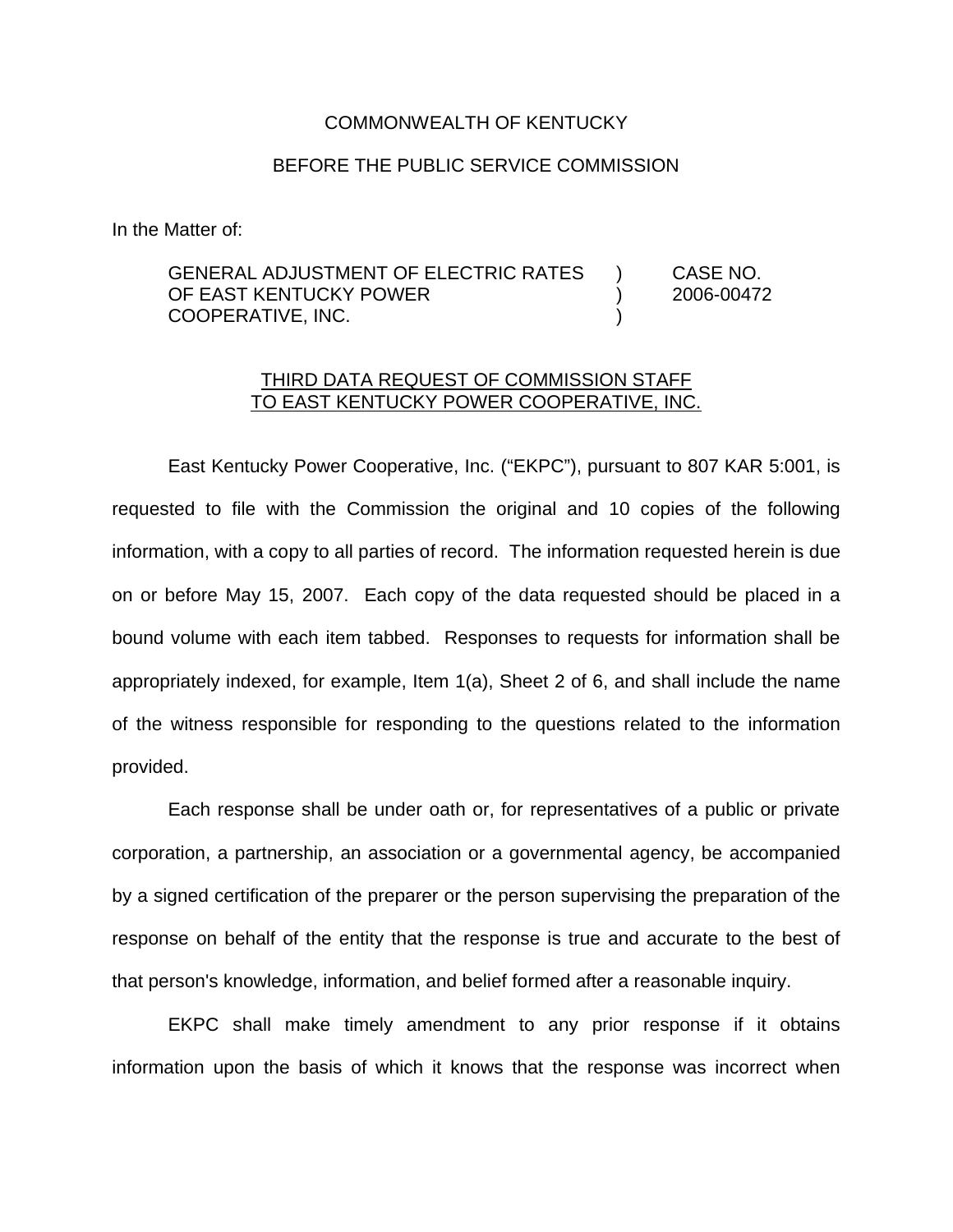#### COMMONWEALTH OF KENTUCKY

## BEFORE THE PUBLIC SERVICE COMMISSION

In the Matter of:

GENERAL ADJUSTMENT OF ELECTRIC RATES ) CASE NO. OF EAST KENTUCKY POWER (2006-00472 COOPERATIVE, INC. )

## THIRD DATA REQUEST OF COMMISSION STAFF TO EAST KENTUCKY POWER COOPERATIVE, INC.

East Kentucky Power Cooperative, Inc. ("EKPC"), pursuant to 807 KAR 5:001, is requested to file with the Commission the original and 10 copies of the following information, with a copy to all parties of record. The information requested herein is due on or before May 15, 2007. Each copy of the data requested should be placed in a bound volume with each item tabbed. Responses to requests for information shall be appropriately indexed, for example, Item 1(a), Sheet 2 of 6, and shall include the name of the witness responsible for responding to the questions related to the information provided.

Each response shall be under oath or, for representatives of a public or private corporation, a partnership, an association or a governmental agency, be accompanied by a signed certification of the preparer or the person supervising the preparation of the response on behalf of the entity that the response is true and accurate to the best of that person's knowledge, information, and belief formed after a reasonable inquiry.

EKPC shall make timely amendment to any prior response if it obtains information upon the basis of which it knows that the response was incorrect when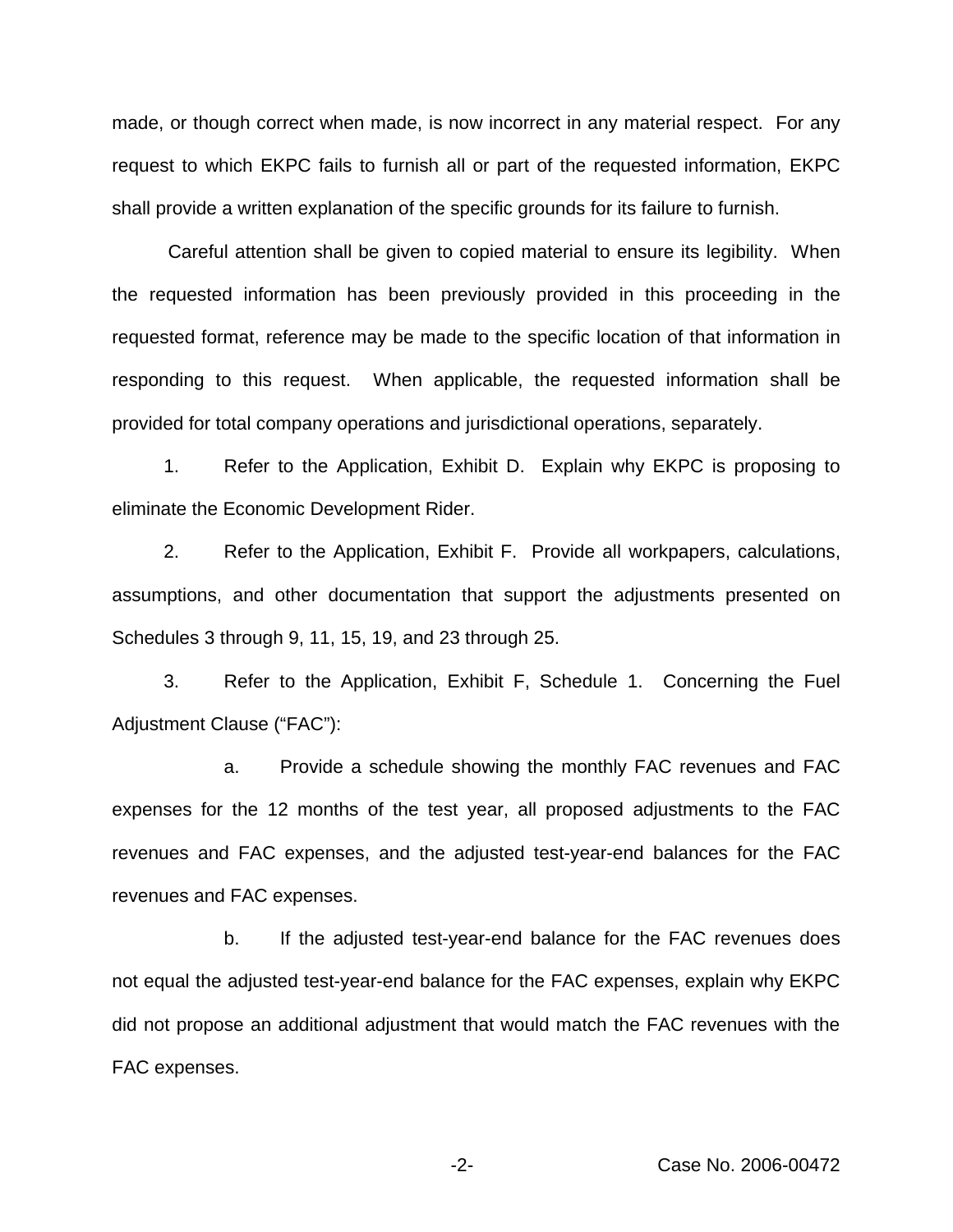made, or though correct when made, is now incorrect in any material respect. For any request to which EKPC fails to furnish all or part of the requested information, EKPC shall provide a written explanation of the specific grounds for its failure to furnish.

Careful attention shall be given to copied material to ensure its legibility. When the requested information has been previously provided in this proceeding in the requested format, reference may be made to the specific location of that information in responding to this request. When applicable, the requested information shall be provided for total company operations and jurisdictional operations, separately.

1. Refer to the Application, Exhibit D. Explain why EKPC is proposing to eliminate the Economic Development Rider.

2. Refer to the Application, Exhibit F. Provide all workpapers, calculations, assumptions, and other documentation that support the adjustments presented on Schedules 3 through 9, 11, 15, 19, and 23 through 25.

3. Refer to the Application, Exhibit F, Schedule 1. Concerning the Fuel Adjustment Clause ("FAC"):

a. Provide a schedule showing the monthly FAC revenues and FAC expenses for the 12 months of the test year, all proposed adjustments to the FAC revenues and FAC expenses, and the adjusted test-year-end balances for the FAC revenues and FAC expenses.

b. If the adjusted test-year-end balance for the FAC revenues does not equal the adjusted test-year-end balance for the FAC expenses, explain why EKPC did not propose an additional adjustment that would match the FAC revenues with the FAC expenses.

-2- Case No. 2006-00472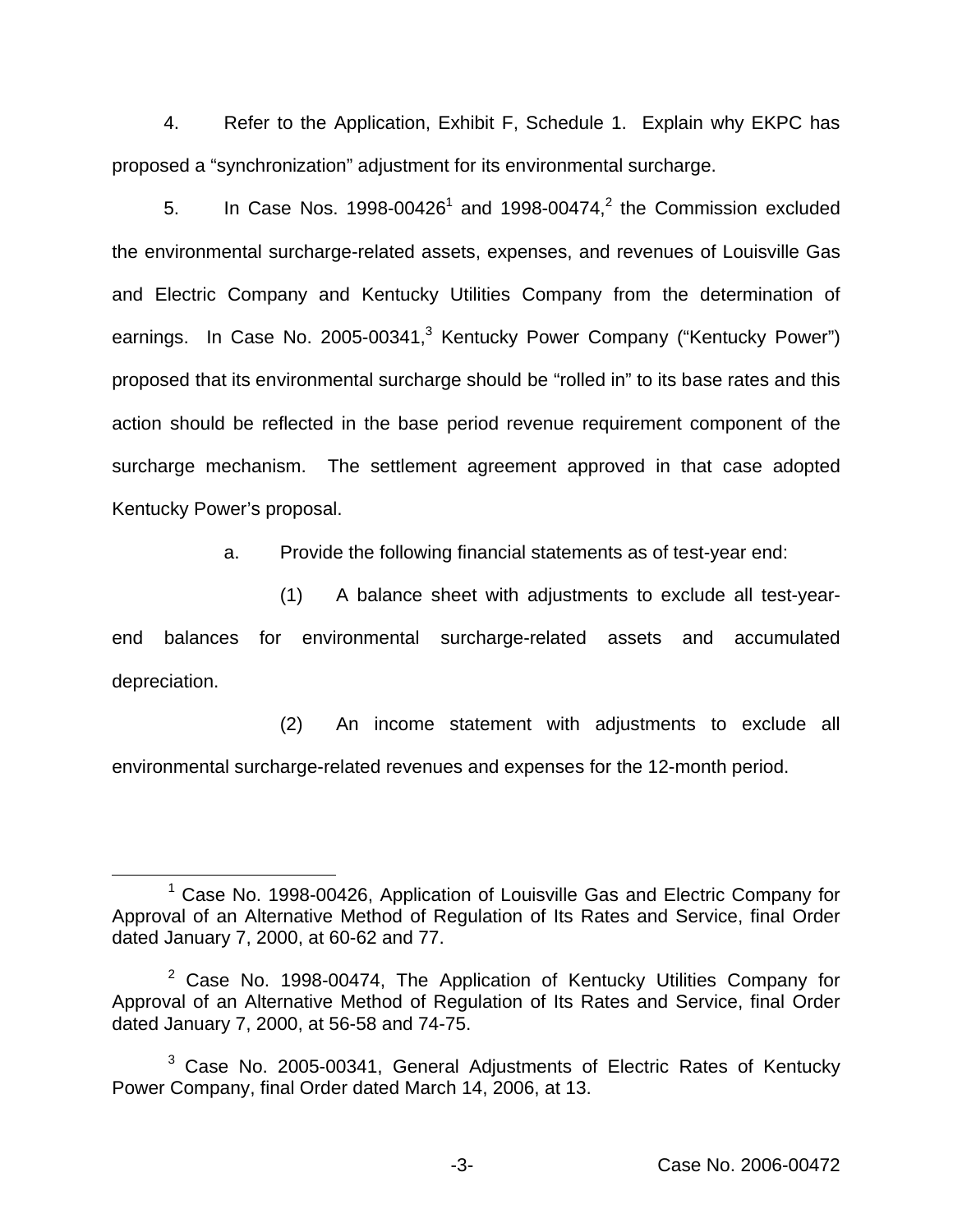4. Refer to the Application, Exhibit F, Schedule 1. Explain why EKPC has proposed a "synchronization" adjustment for its environmental surcharge.

5. In Case Nos. 1998-00426<sup>1</sup> and 1998-00474,<sup>2</sup> the Commission excluded the environmental surcharge-related assets, expenses, and revenues of Louisville Gas and Electric Company and Kentucky Utilities Company from the determination of earnings. In Case No. 2005-00341,<sup>3</sup> Kentucky Power Company ("Kentucky Power") proposed that its environmental surcharge should be "rolled in" to its base rates and this action should be reflected in the base period revenue requirement component of the surcharge mechanism. The settlement agreement approved in that case adopted Kentucky Power's proposal.

a. Provide the following financial statements as of test-year end:

(1) A balance sheet with adjustments to exclude all test-yearend balances for environmental surcharge-related assets and accumulated depreciation.

(2) An income statement with adjustments to exclude all environmental surcharge-related revenues and expenses for the 12-month period.

 $1$  Case No. 1998-00426, Application of Louisville Gas and Electric Company for Approval of an Alternative Method of Regulation of Its Rates and Service, final Order dated January 7, 2000, at 60-62 and 77.

 $2$  Case No. 1998-00474, The Application of Kentucky Utilities Company for Approval of an Alternative Method of Regulation of Its Rates and Service, final Order dated January 7, 2000, at 56-58 and 74-75.

<sup>&</sup>lt;sup>3</sup> Case No. 2005-00341, General Adjustments of Electric Rates of Kentucky Power Company, final Order dated March 14, 2006, at 13.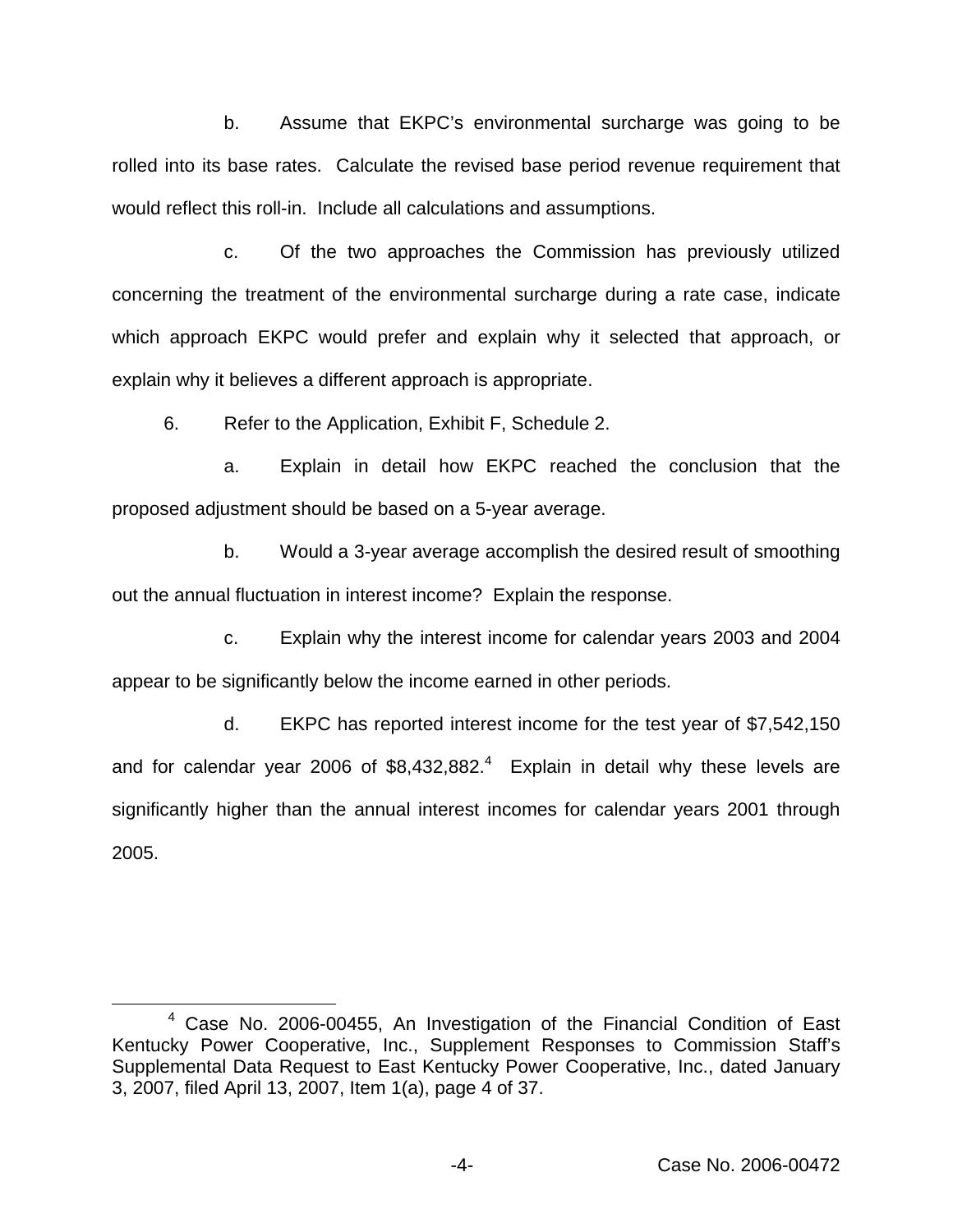b. Assume that EKPC's environmental surcharge was going to be rolled into its base rates. Calculate the revised base period revenue requirement that would reflect this roll-in. Include all calculations and assumptions.

c. Of the two approaches the Commission has previously utilized concerning the treatment of the environmental surcharge during a rate case, indicate which approach EKPC would prefer and explain why it selected that approach, or explain why it believes a different approach is appropriate.

6. Refer to the Application, Exhibit F, Schedule 2.

a. Explain in detail how EKPC reached the conclusion that the proposed adjustment should be based on a 5-year average.

b. Would a 3-year average accomplish the desired result of smoothing out the annual fluctuation in interest income? Explain the response.

c. Explain why the interest income for calendar years 2003 and 2004 appear to be significantly below the income earned in other periods.

d. EKPC has reported interest income for the test year of \$7,542,150 and for calendar year 2006 of  $$8,432,882<sup>4</sup>$  Explain in detail why these levels are significantly higher than the annual interest incomes for calendar years 2001 through 2005.

<sup>4</sup> Case No. 2006-00455, An Investigation of the Financial Condition of East Kentucky Power Cooperative, Inc., Supplement Responses to Commission Staff's Supplemental Data Request to East Kentucky Power Cooperative, Inc., dated January 3, 2007, filed April 13, 2007, Item 1(a), page 4 of 37.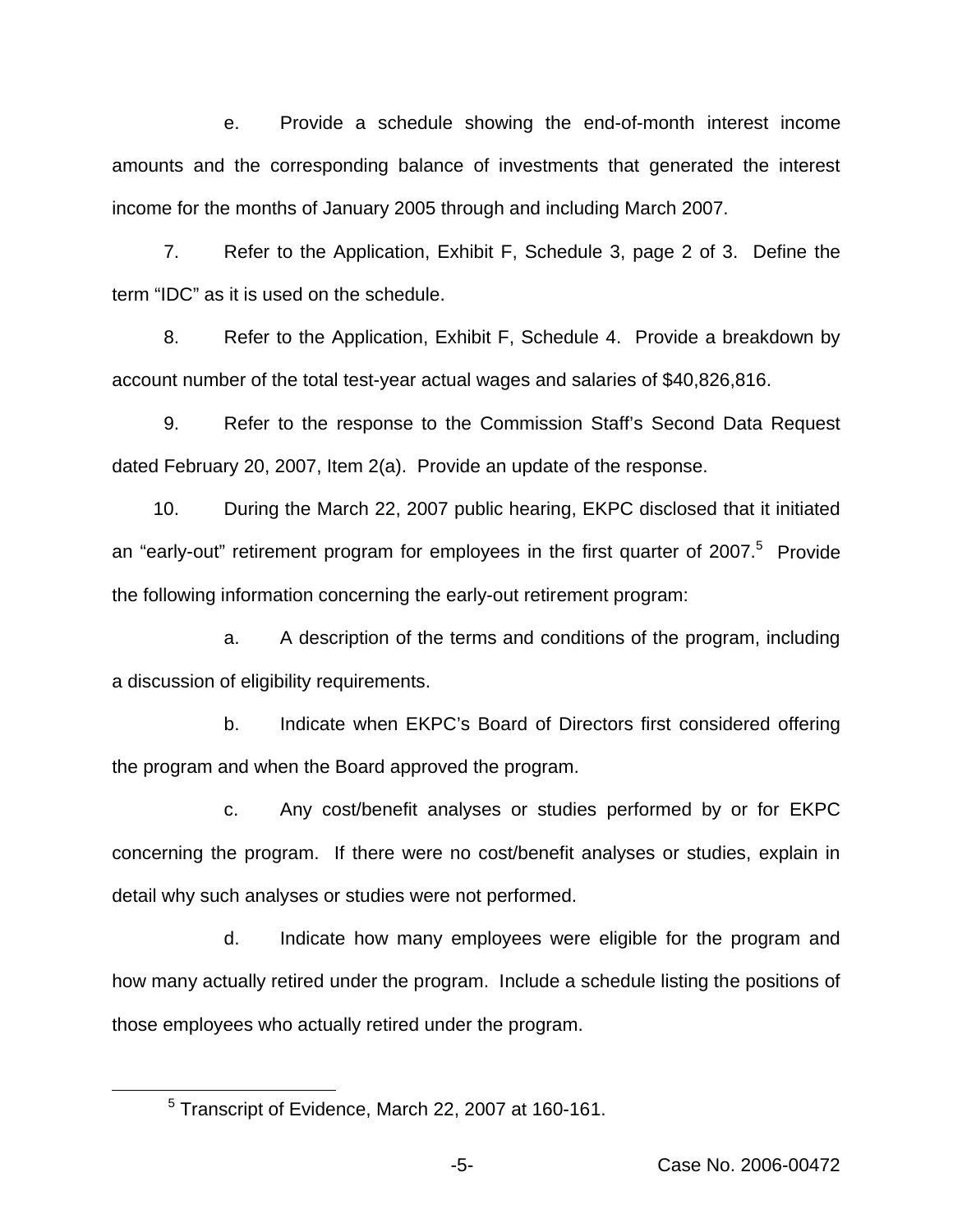e. Provide a schedule showing the end-of-month interest income amounts and the corresponding balance of investments that generated the interest income for the months of January 2005 through and including March 2007.

7. Refer to the Application, Exhibit F, Schedule 3, page 2 of 3. Define the term "IDC" as it is used on the schedule.

8. Refer to the Application, Exhibit F, Schedule 4. Provide a breakdown by account number of the total test-year actual wages and salaries of \$40,826,816.

9. Refer to the response to the Commission Staff's Second Data Request dated February 20, 2007, Item 2(a). Provide an update of the response.

10. During the March 22, 2007 public hearing, EKPC disclosed that it initiated an "early-out" retirement program for employees in the first quarter of  $2007$ .<sup>5</sup> Provide the following information concerning the early-out retirement program:

a. A description of the terms and conditions of the program, including a discussion of eligibility requirements.

b. Indicate when EKPC's Board of Directors first considered offering the program and when the Board approved the program.

c. Any cost/benefit analyses or studies performed by or for EKPC concerning the program. If there were no cost/benefit analyses or studies, explain in detail why such analyses or studies were not performed.

d. Indicate how many employees were eligible for the program and how many actually retired under the program. Include a schedule listing the positions of those employees who actually retired under the program.

<sup>5</sup> Transcript of Evidence, March 22, 2007 at 160-161.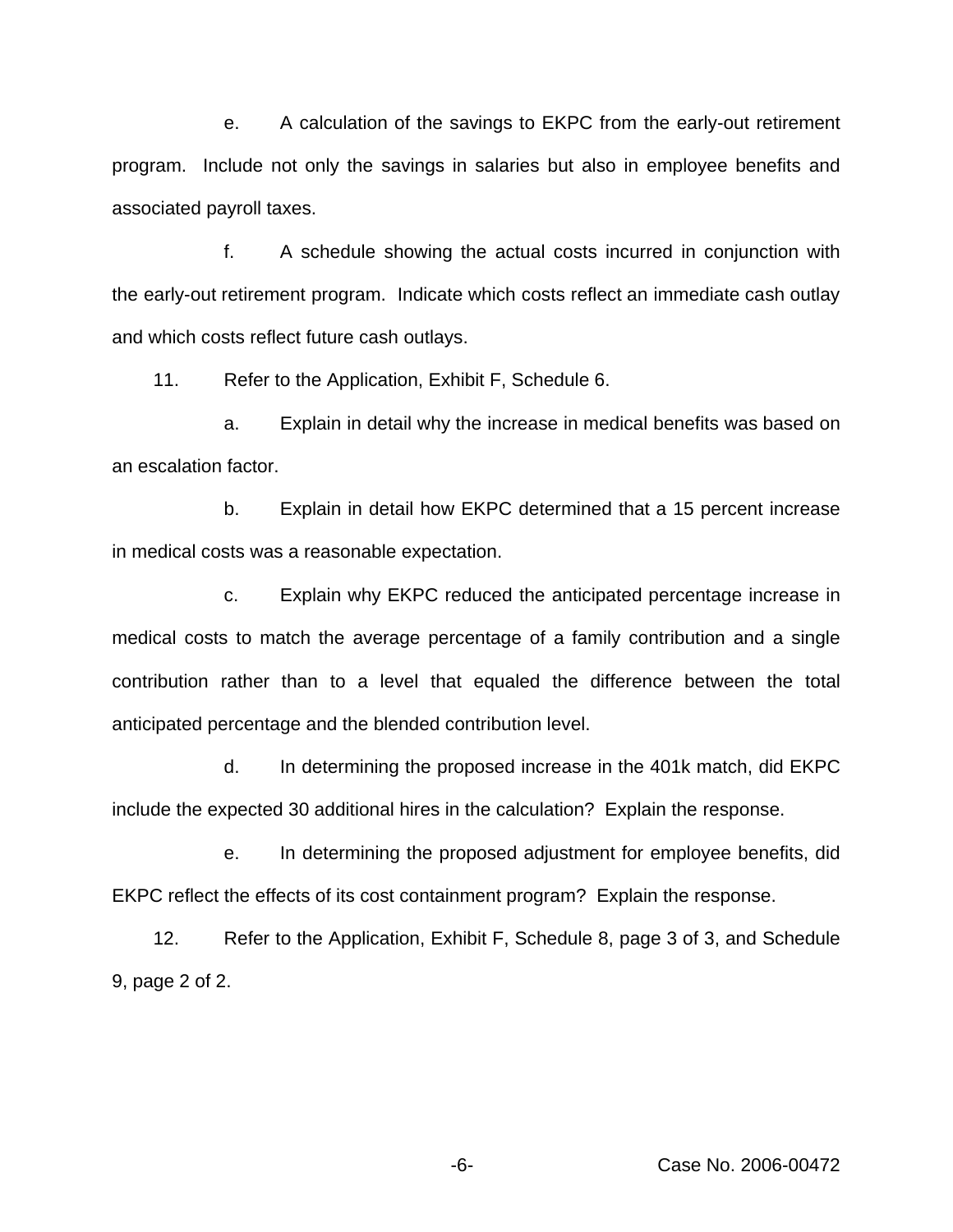e. A calculation of the savings to EKPC from the early-out retirement program. Include not only the savings in salaries but also in employee benefits and associated payroll taxes.

f. A schedule showing the actual costs incurred in conjunction with the early-out retirement program. Indicate which costs reflect an immediate cash outlay and which costs reflect future cash outlays.

11. Refer to the Application, Exhibit F, Schedule 6.

a. Explain in detail why the increase in medical benefits was based on an escalation factor.

b. Explain in detail how EKPC determined that a 15 percent increase in medical costs was a reasonable expectation.

c. Explain why EKPC reduced the anticipated percentage increase in medical costs to match the average percentage of a family contribution and a single contribution rather than to a level that equaled the difference between the total anticipated percentage and the blended contribution level.

d. In determining the proposed increase in the 401k match, did EKPC include the expected 30 additional hires in the calculation? Explain the response.

e. In determining the proposed adjustment for employee benefits, did EKPC reflect the effects of its cost containment program? Explain the response.

12. Refer to the Application, Exhibit F, Schedule 8, page 3 of 3, and Schedule 9, page 2 of 2.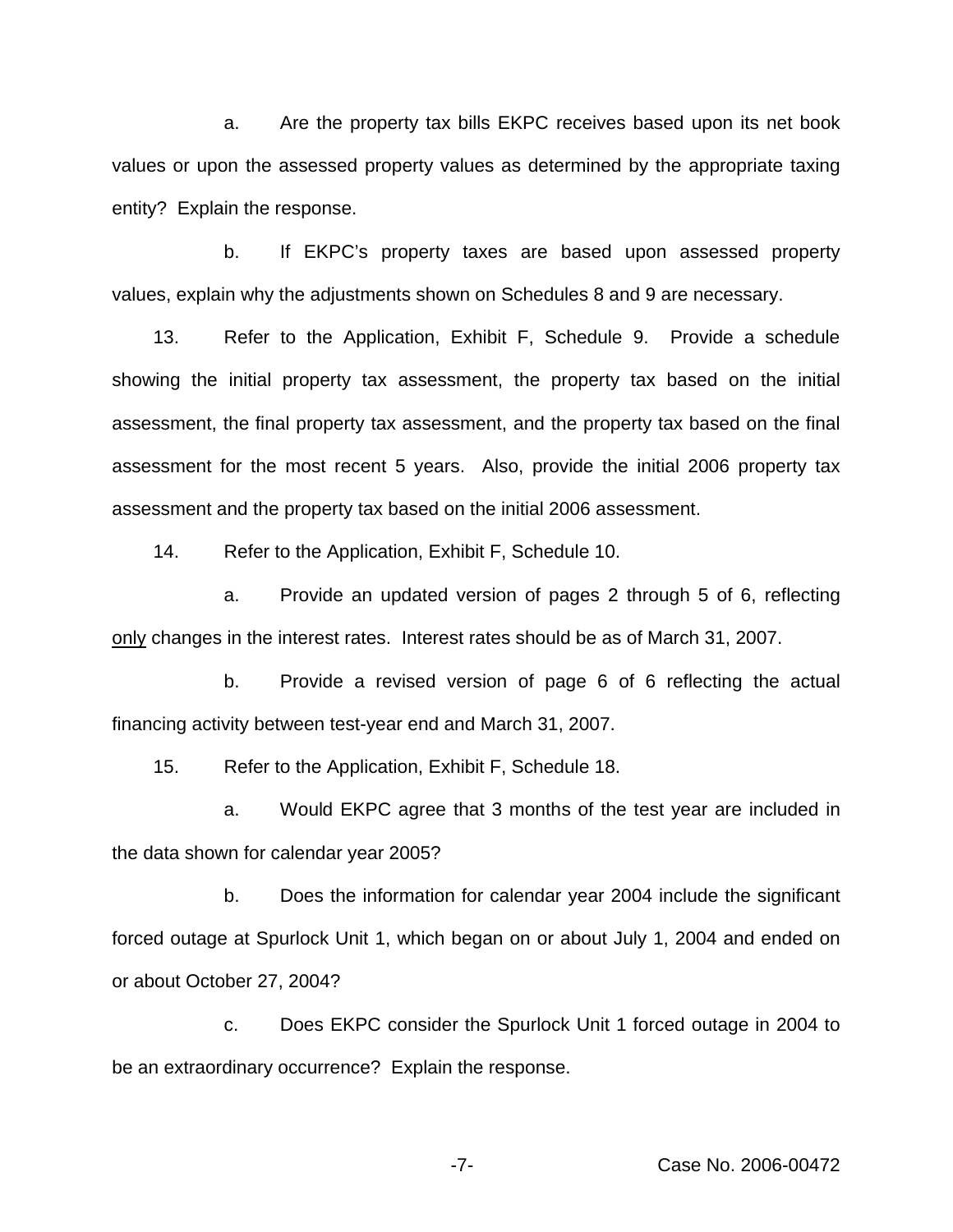a. Are the property tax bills EKPC receives based upon its net book values or upon the assessed property values as determined by the appropriate taxing entity? Explain the response.

b. If EKPC's property taxes are based upon assessed property values, explain why the adjustments shown on Schedules 8 and 9 are necessary.

13. Refer to the Application, Exhibit F, Schedule 9. Provide a schedule showing the initial property tax assessment, the property tax based on the initial assessment, the final property tax assessment, and the property tax based on the final assessment for the most recent 5 years. Also, provide the initial 2006 property tax assessment and the property tax based on the initial 2006 assessment.

14. Refer to the Application, Exhibit F, Schedule 10.

a. Provide an updated version of pages 2 through 5 of 6, reflecting only changes in the interest rates. Interest rates should be as of March 31, 2007.

b. Provide a revised version of page 6 of 6 reflecting the actual financing activity between test-year end and March 31, 2007.

15. Refer to the Application, Exhibit F, Schedule 18.

a. Would EKPC agree that 3 months of the test year are included in the data shown for calendar year 2005?

b. Does the information for calendar year 2004 include the significant forced outage at Spurlock Unit 1, which began on or about July 1, 2004 and ended on or about October 27, 2004?

c. Does EKPC consider the Spurlock Unit 1 forced outage in 2004 to be an extraordinary occurrence? Explain the response.

-7- Case No. 2006-00472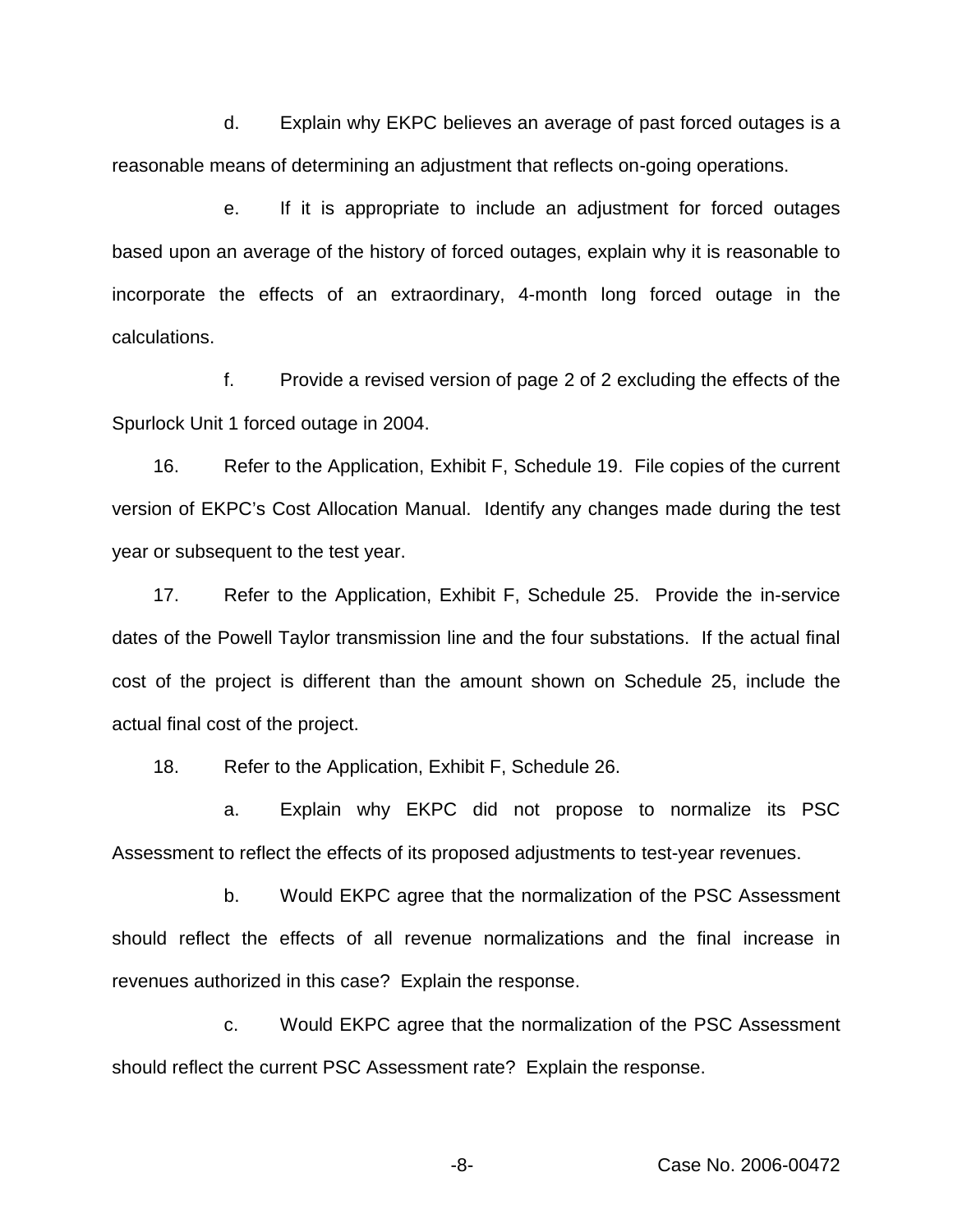d. Explain why EKPC believes an average of past forced outages is a reasonable means of determining an adjustment that reflects on-going operations.

e. If it is appropriate to include an adjustment for forced outages based upon an average of the history of forced outages, explain why it is reasonable to incorporate the effects of an extraordinary, 4-month long forced outage in the calculations.

f. Provide a revised version of page 2 of 2 excluding the effects of the Spurlock Unit 1 forced outage in 2004.

16. Refer to the Application, Exhibit F, Schedule 19. File copies of the current version of EKPC's Cost Allocation Manual. Identify any changes made during the test year or subsequent to the test year.

17. Refer to the Application, Exhibit F, Schedule 25. Provide the in-service dates of the Powell Taylor transmission line and the four substations. If the actual final cost of the project is different than the amount shown on Schedule 25, include the actual final cost of the project.

18. Refer to the Application, Exhibit F, Schedule 26.

a. Explain why EKPC did not propose to normalize its PSC Assessment to reflect the effects of its proposed adjustments to test-year revenues.

b. Would EKPC agree that the normalization of the PSC Assessment should reflect the effects of all revenue normalizations and the final increase in revenues authorized in this case? Explain the response.

c. Would EKPC agree that the normalization of the PSC Assessment should reflect the current PSC Assessment rate? Explain the response.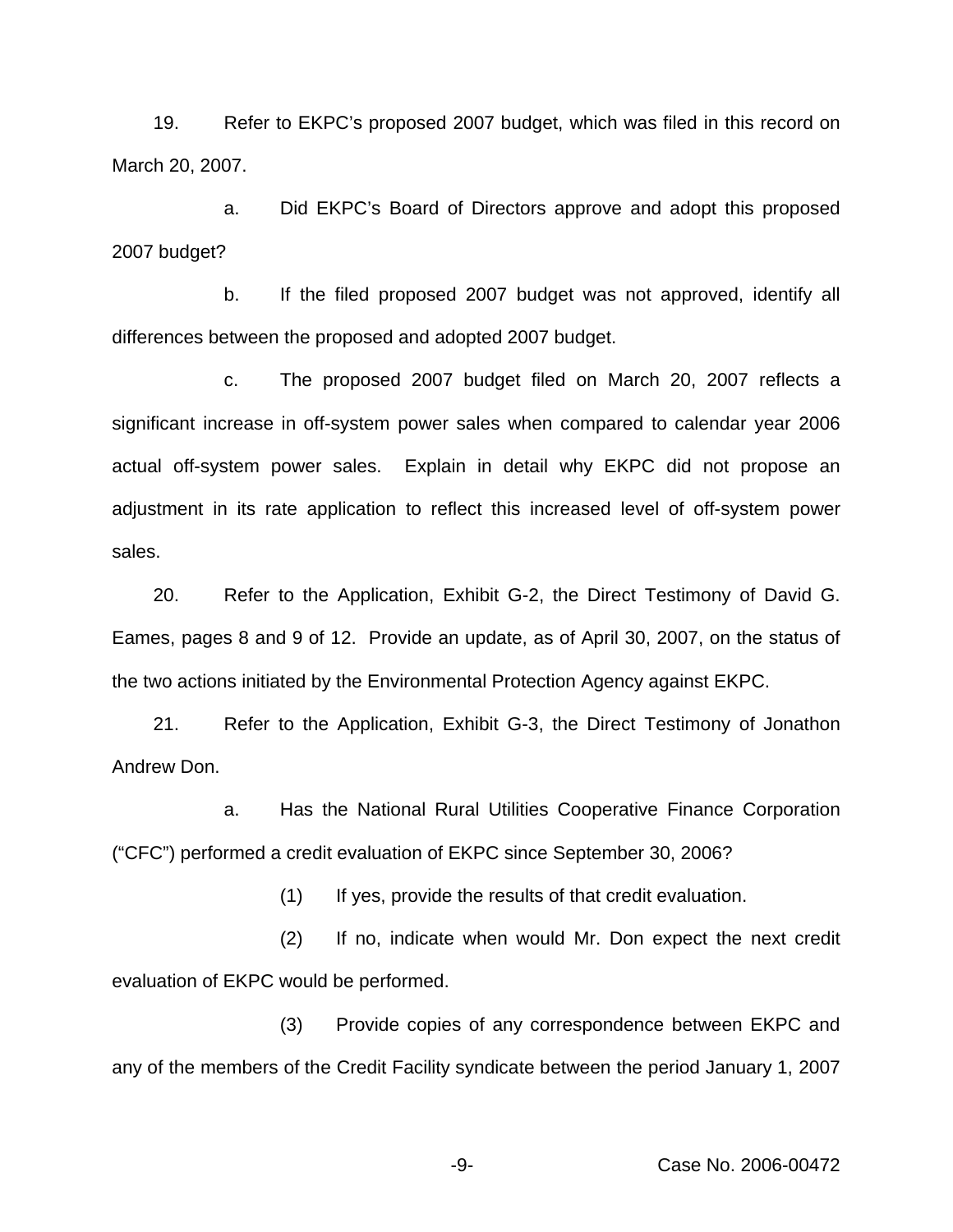19. Refer to EKPC's proposed 2007 budget, which was filed in this record on March 20, 2007.

a. Did EKPC's Board of Directors approve and adopt this proposed 2007 budget?

b. If the filed proposed 2007 budget was not approved, identify all differences between the proposed and adopted 2007 budget.

c. The proposed 2007 budget filed on March 20, 2007 reflects a significant increase in off-system power sales when compared to calendar year 2006 actual off-system power sales. Explain in detail why EKPC did not propose an adjustment in its rate application to reflect this increased level of off-system power sales.

20. Refer to the Application, Exhibit G-2, the Direct Testimony of David G. Eames, pages 8 and 9 of 12. Provide an update, as of April 30, 2007, on the status of the two actions initiated by the Environmental Protection Agency against EKPC.

21. Refer to the Application, Exhibit G-3, the Direct Testimony of Jonathon Andrew Don.

a. Has the National Rural Utilities Cooperative Finance Corporation ("CFC") performed a credit evaluation of EKPC since September 30, 2006?

(1) If yes, provide the results of that credit evaluation.

(2) If no, indicate when would Mr. Don expect the next credit evaluation of EKPC would be performed.

(3) Provide copies of any correspondence between EKPC and any of the members of the Credit Facility syndicate between the period January 1, 2007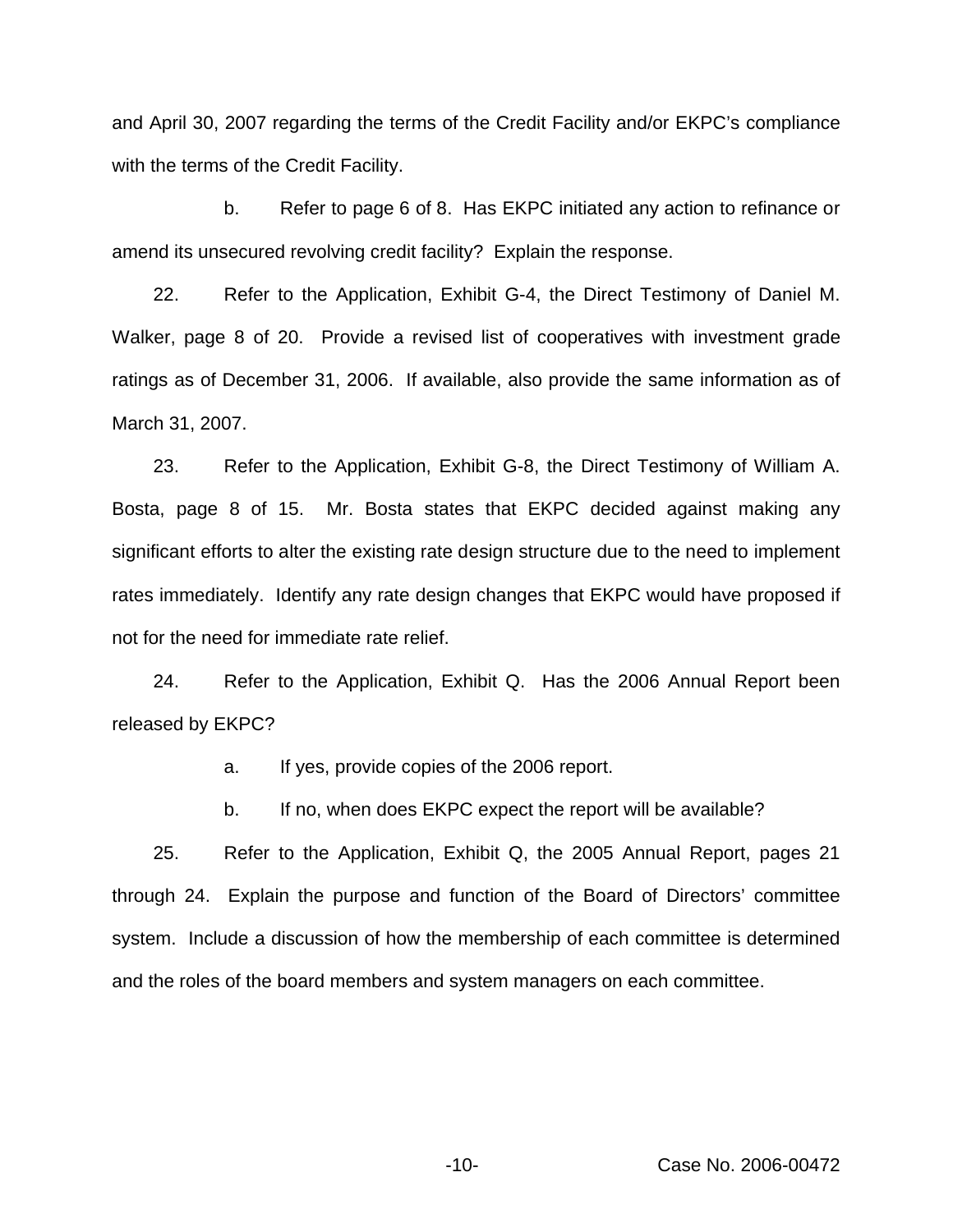and April 30, 2007 regarding the terms of the Credit Facility and/or EKPC's compliance with the terms of the Credit Facility.

b. Refer to page 6 of 8. Has EKPC initiated any action to refinance or amend its unsecured revolving credit facility? Explain the response.

22. Refer to the Application, Exhibit G-4, the Direct Testimony of Daniel M. Walker, page 8 of 20. Provide a revised list of cooperatives with investment grade ratings as of December 31, 2006. If available, also provide the same information as of March 31, 2007.

23. Refer to the Application, Exhibit G-8, the Direct Testimony of William A. Bosta, page 8 of 15. Mr. Bosta states that EKPC decided against making any significant efforts to alter the existing rate design structure due to the need to implement rates immediately. Identify any rate design changes that EKPC would have proposed if not for the need for immediate rate relief.

24. Refer to the Application, Exhibit Q. Has the 2006 Annual Report been released by EKPC?

a. If yes, provide copies of the 2006 report.

b. If no, when does EKPC expect the report will be available?

25. Refer to the Application, Exhibit Q, the 2005 Annual Report, pages 21 through 24. Explain the purpose and function of the Board of Directors' committee system. Include a discussion of how the membership of each committee is determined and the roles of the board members and system managers on each committee.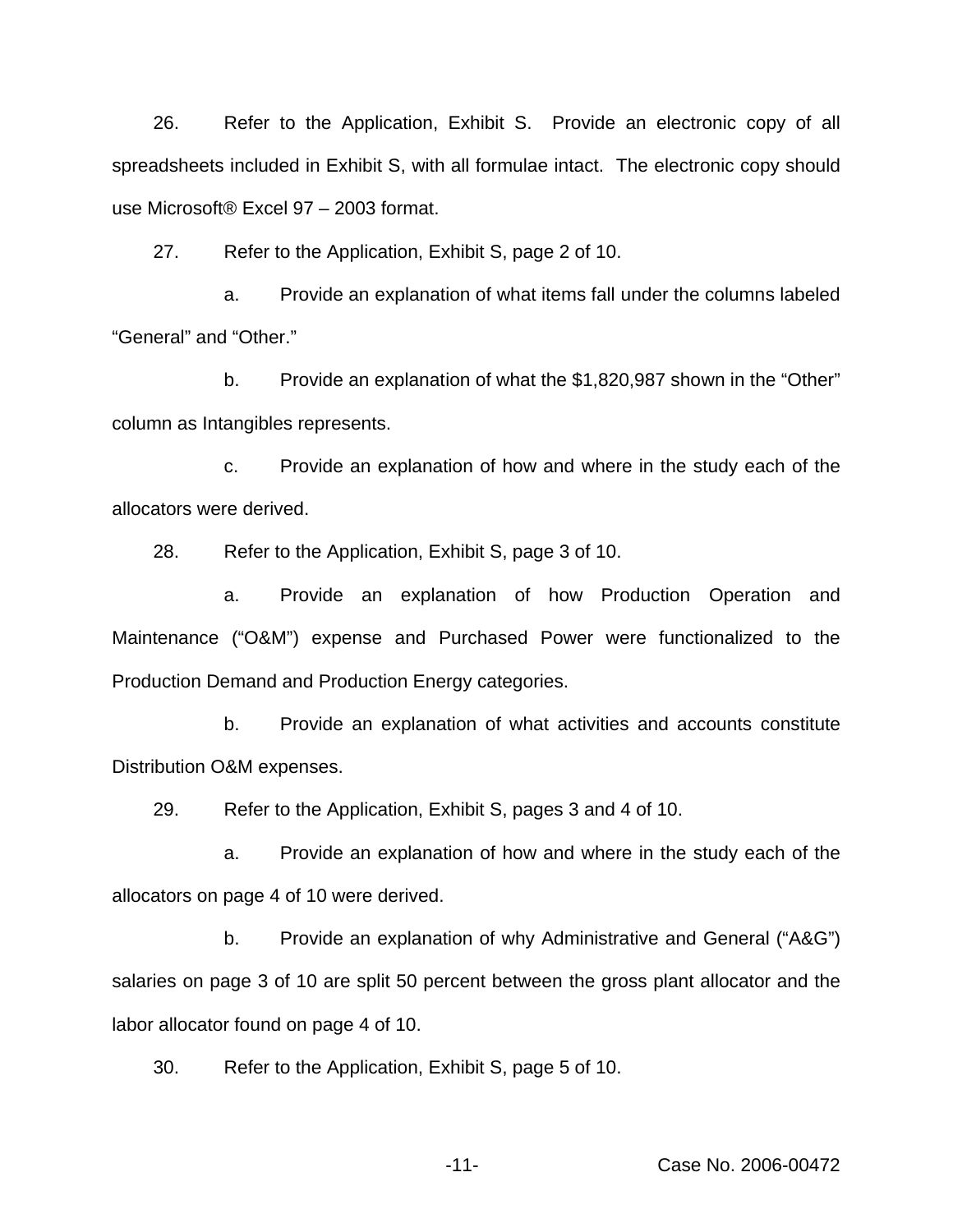26. Refer to the Application, Exhibit S. Provide an electronic copy of all spreadsheets included in Exhibit S, with all formulae intact. The electronic copy should use Microsoft® Excel 97 - 2003 format.

27. Refer to the Application, Exhibit S, page 2 of 10.

a. Provide an explanation of what items fall under the columns labeled "General" and "Other."

b. Provide an explanation of what the \$1,820,987 shown in the "Other" column as Intangibles represents.

c. Provide an explanation of how and where in the study each of the allocators were derived.

28. Refer to the Application, Exhibit S, page 3 of 10.

a. Provide an explanation of how Production Operation and Maintenance ("O&M") expense and Purchased Power were functionalized to the Production Demand and Production Energy categories.

b. Provide an explanation of what activities and accounts constitute Distribution O&M expenses.

29. Refer to the Application, Exhibit S, pages 3 and 4 of 10.

a. Provide an explanation of how and where in the study each of the allocators on page 4 of 10 were derived.

b. Provide an explanation of why Administrative and General ("A&G") salaries on page 3 of 10 are split 50 percent between the gross plant allocator and the labor allocator found on page 4 of 10.

30. Refer to the Application, Exhibit S, page 5 of 10.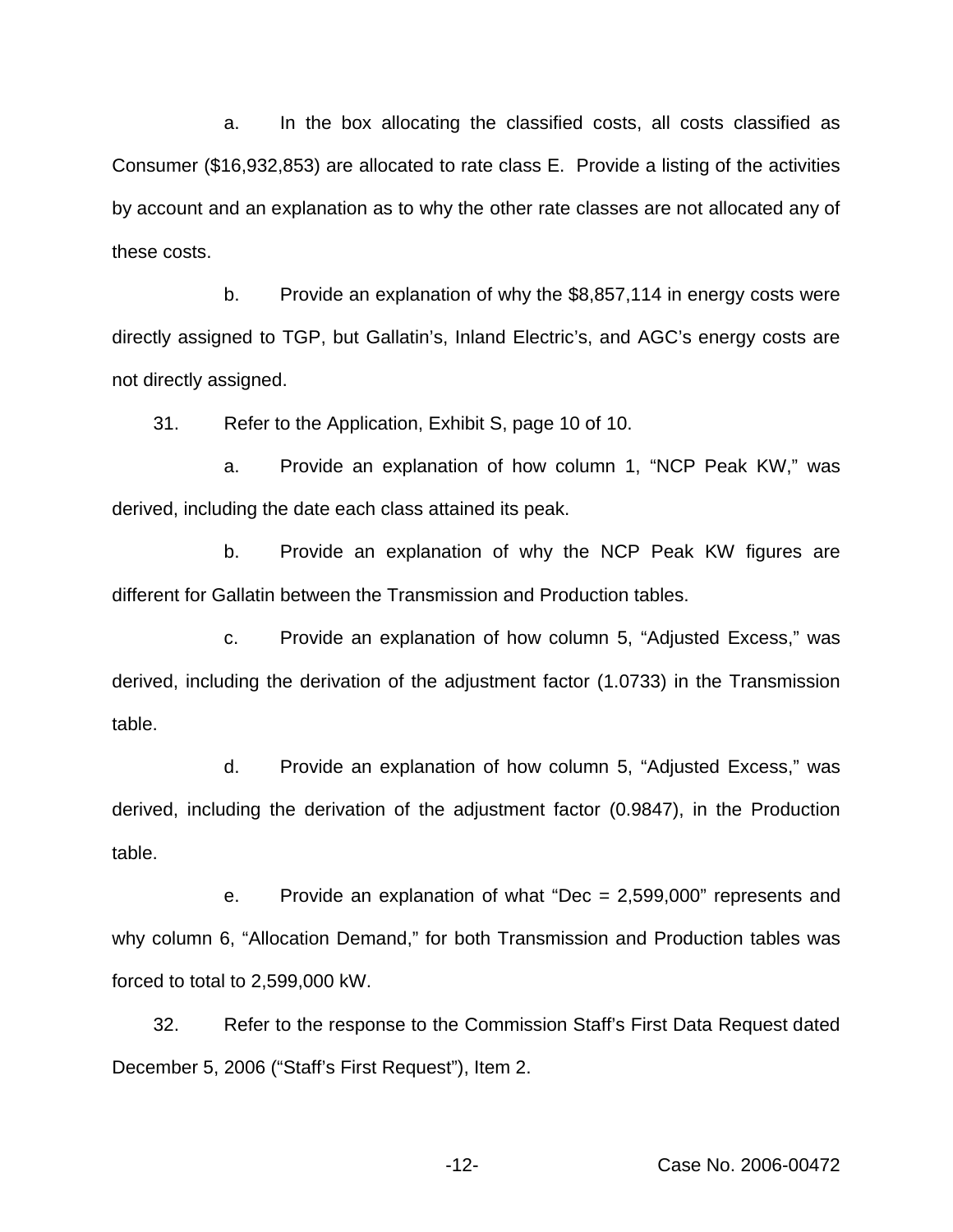a. In the box allocating the classified costs, all costs classified as Consumer (\$16,932,853) are allocated to rate class E. Provide a listing of the activities by account and an explanation as to why the other rate classes are not allocated any of these costs.

b. Provide an explanation of why the \$8,857,114 in energy costs were directly assigned to TGP, but Gallatin's, Inland Electric's, and AGC's energy costs are not directly assigned.

31. Refer to the Application, Exhibit S, page 10 of 10.

a. Provide an explanation of how column 1, "NCP Peak KW," was derived, including the date each class attained its peak.

b. Provide an explanation of why the NCP Peak KW figures are different for Gallatin between the Transmission and Production tables.

c. Provide an explanation of how column 5, "Adjusted Excess," was derived, including the derivation of the adjustment factor (1.0733) in the Transmission table.

d. Provide an explanation of how column 5, "Adjusted Excess," was derived, including the derivation of the adjustment factor (0.9847), in the Production table.

e. Provide an explanation of what "Dec = 2,599,000" represents and why column 6, "Allocation Demand," for both Transmission and Production tables was forced to total to 2,599,000 kW.

32. Refer to the response to the Commission Staff's First Data Request dated December 5, 2006 ("Staff's First Request"), Item 2.

-12- Case No. 2006-00472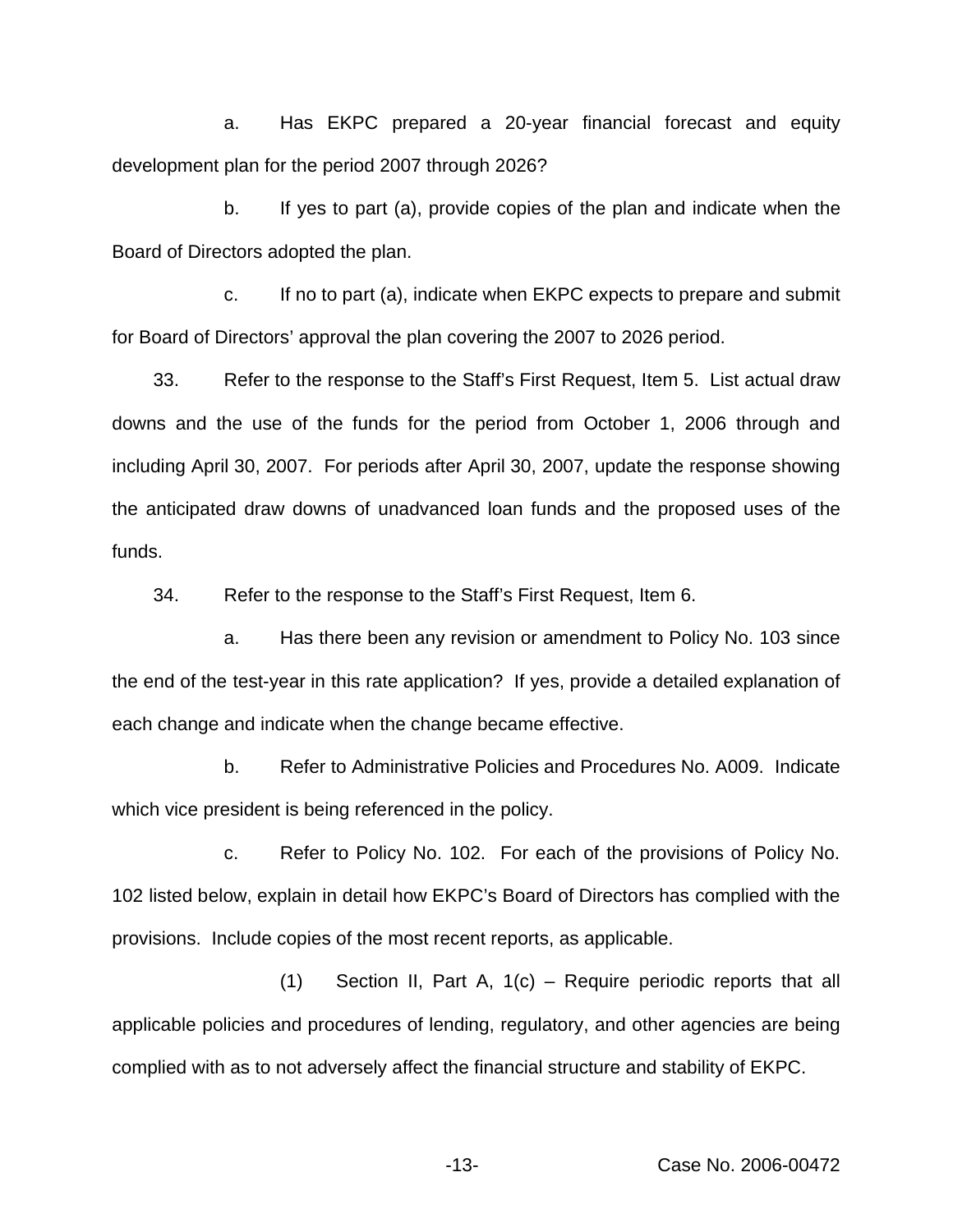a. Has EKPC prepared a 20-year financial forecast and equity development plan for the period 2007 through 2026?

b. If yes to part (a), provide copies of the plan and indicate when the Board of Directors adopted the plan.

c. If no to part (a), indicate when EKPC expects to prepare and submit for Board of Directors' approval the plan covering the 2007 to 2026 period.

33. Refer to the response to the Staff's First Request, Item 5. List actual draw downs and the use of the funds for the period from October 1, 2006 through and including April 30, 2007. For periods after April 30, 2007, update the response showing the anticipated draw downs of unadvanced loan funds and the proposed uses of the funds.

34. Refer to the response to the Staff's First Request, Item 6.

a. Has there been any revision or amendment to Policy No. 103 since the end of the test-year in this rate application? If yes, provide a detailed explanation of each change and indicate when the change became effective.

b. Refer to Administrative Policies and Procedures No. A009. Indicate which vice president is being referenced in the policy.

c. Refer to Policy No. 102. For each of the provisions of Policy No. 102 listed below, explain in detail how EKPC's Board of Directors has complied with the provisions. Include copies of the most recent reports, as applicable.

(1) Section II, Part A, 1(c) – Require periodic reports that all applicable policies and procedures of lending, regulatory, and other agencies are being complied with as to not adversely affect the financial structure and stability of EKPC.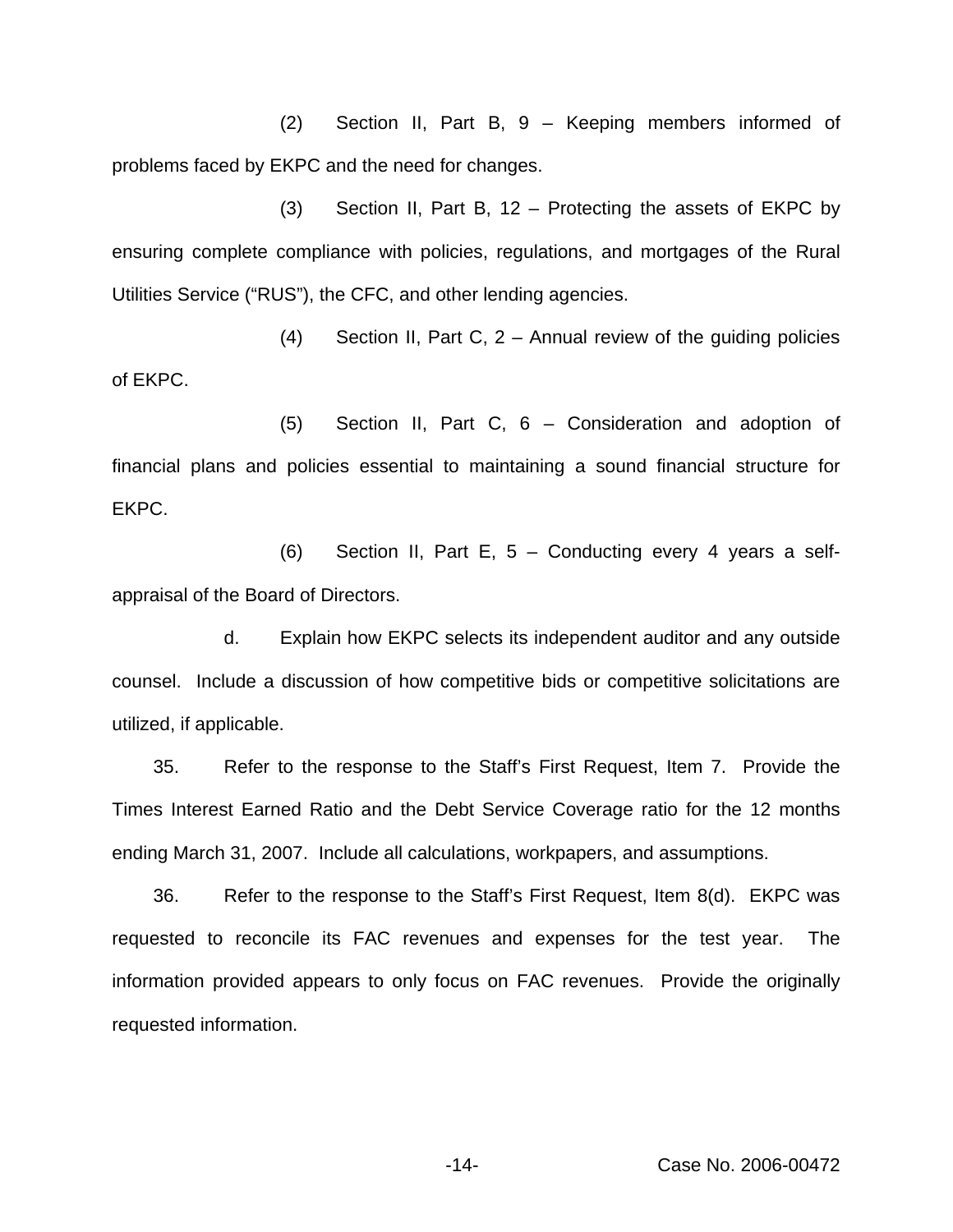(2) Section II, Part B, 9 – Keeping members informed of problems faced by EKPC and the need for changes.

(3) Section II, Part B, 12 – Protecting the assets of EKPC by ensuring complete compliance with policies, regulations, and mortgages of the Rural Utilities Service ("RUS"), the CFC, and other lending agencies.

(4) Section II, Part C, 2 – Annual review of the guiding policies of EKPC.

(5) Section II, Part C, 6 – Consideration and adoption of financial plans and policies essential to maintaining a sound financial structure for EKPC.

(6) Section II, Part E, 5 – Conducting every 4 years a selfappraisal of the Board of Directors.

d. Explain how EKPC selects its independent auditor and any outside counsel. Include a discussion of how competitive bids or competitive solicitations are utilized, if applicable.

35. Refer to the response to the Staff's First Request, Item 7. Provide the Times Interest Earned Ratio and the Debt Service Coverage ratio for the 12 months ending March 31, 2007. Include all calculations, workpapers, and assumptions.

36. Refer to the response to the Staff's First Request, Item 8(d). EKPC was requested to reconcile its FAC revenues and expenses for the test year. The information provided appears to only focus on FAC revenues. Provide the originally requested information.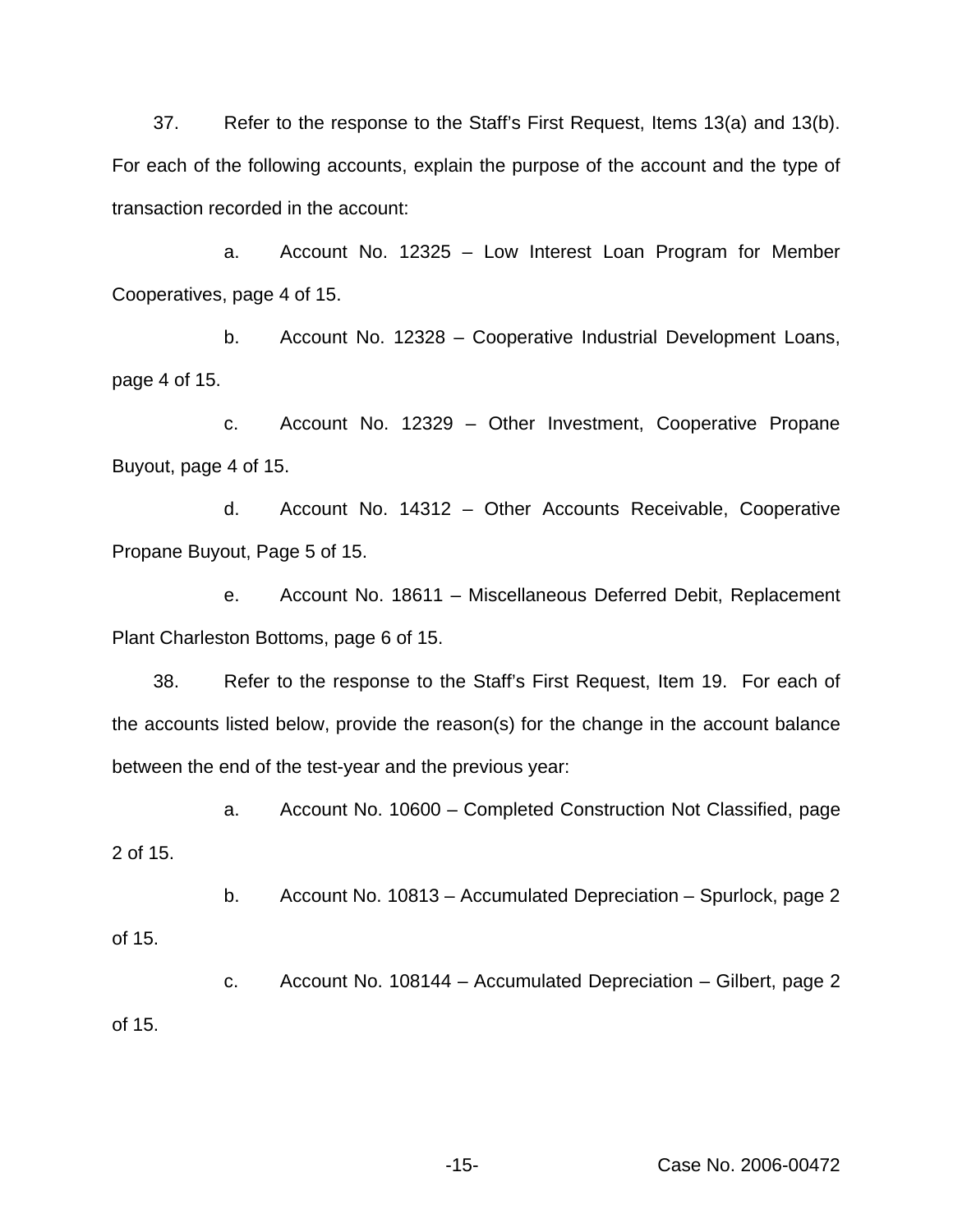37. Refer to the response to the Staff's First Request, Items 13(a) and 13(b). For each of the following accounts, explain the purpose of the account and the type of transaction recorded in the account:

a. Account No. 12325 – Low Interest Loan Program for Member Cooperatives, page 4 of 15.

b. Account No. 12328 – Cooperative Industrial Development Loans, page 4 of 15.

c. Account No. 12329 – Other Investment, Cooperative Propane Buyout, page 4 of 15.

d. Account No. 14312 – Other Accounts Receivable, Cooperative Propane Buyout, Page 5 of 15.

e. Account No. 18611 – Miscellaneous Deferred Debit, Replacement Plant Charleston Bottoms, page 6 of 15.

38. Refer to the response to the Staff's First Request, Item 19. For each of the accounts listed below, provide the reason(s) for the change in the account balance between the end of the test-year and the previous year:

a. Account No. 10600 – Completed Construction Not Classified, page 2 of 15.

b. Account No. 10813 – Accumulated Depreciation – Spurlock, page 2

of 15.

c. Account No. 108144 – Accumulated Depreciation – Gilbert, page 2 of 15.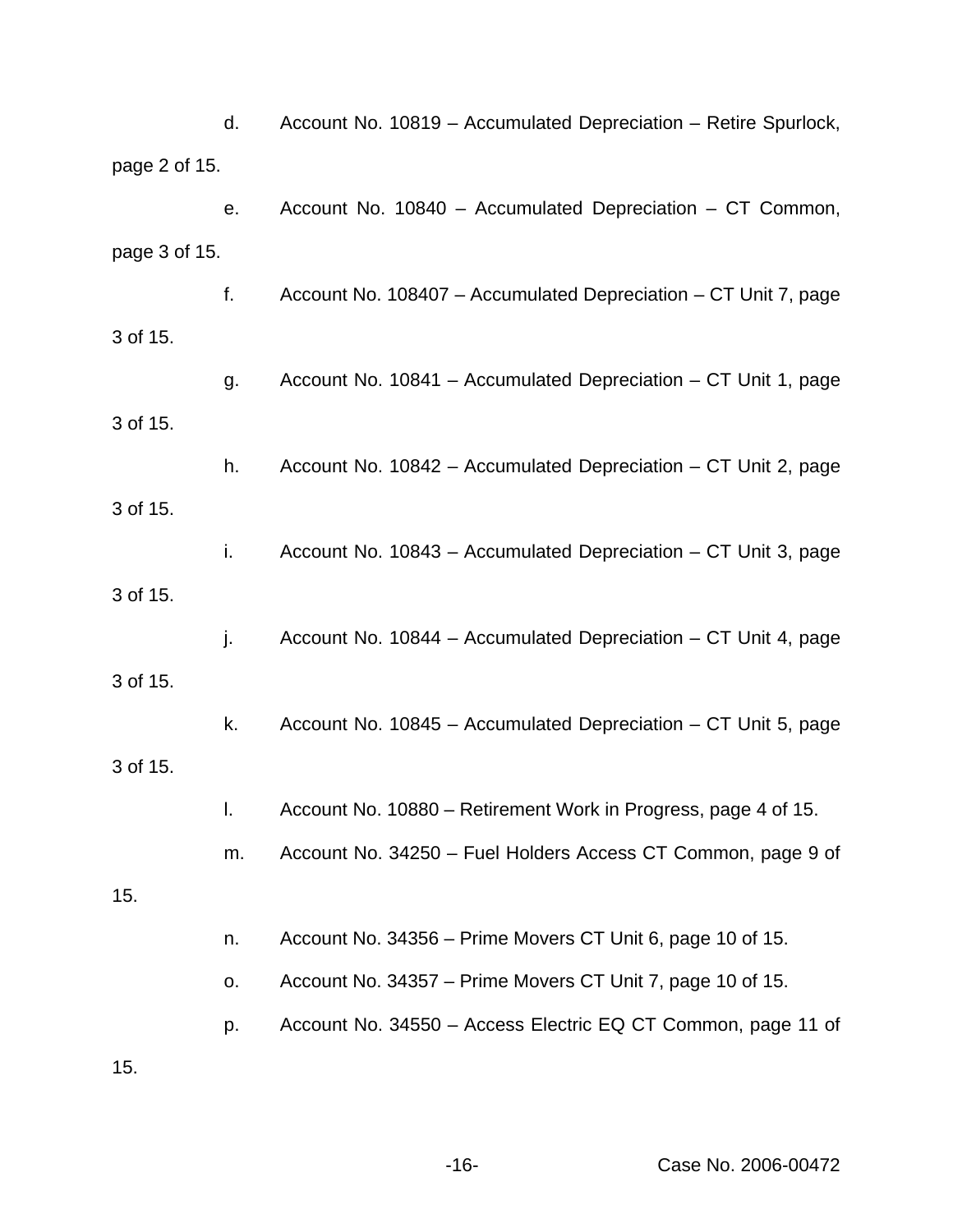|               | d. | Account No. 10819 - Accumulated Depreciation - Retire Spurlock, |
|---------------|----|-----------------------------------------------------------------|
| page 2 of 15. |    |                                                                 |
|               | е. | Account No. 10840 - Accumulated Depreciation - CT Common,       |
| page 3 of 15. |    |                                                                 |
|               | f. | Account No. 108407 - Accumulated Depreciation - CT Unit 7, page |
| 3 of 15.      |    |                                                                 |
|               | g. | Account No. 10841 – Accumulated Depreciation – CT Unit 1, page  |
| 3 of 15.      |    |                                                                 |
|               | h. | Account No. 10842 - Accumulated Depreciation - CT Unit 2, page  |
| 3 of 15.      |    |                                                                 |
|               | i. | Account No. 10843 – Accumulated Depreciation – CT Unit 3, page  |
| 3 of 15.      |    |                                                                 |
|               | j. | Account No. 10844 - Accumulated Depreciation - CT Unit 4, page  |
| 3 of 15.      |    |                                                                 |
|               | k. | Account No. 10845 - Accumulated Depreciation - CT Unit 5, page  |
| 3 of 15.      |    |                                                                 |
|               |    | Account No. 10880 - Retirement Work in Progress, page 4 of 15.  |
|               | m. | Account No. 34250 - Fuel Holders Access CT Common, page 9 of    |
| 15.           |    |                                                                 |
|               | n. | Account No. 34356 – Prime Movers CT Unit 6, page 10 of 15.      |
|               | о. | Account No. 34357 – Prime Movers CT Unit 7, page 10 of 15.      |
|               | p. | Account No. 34550 - Access Electric EQ CT Common, page 11 of    |
| 15.           |    |                                                                 |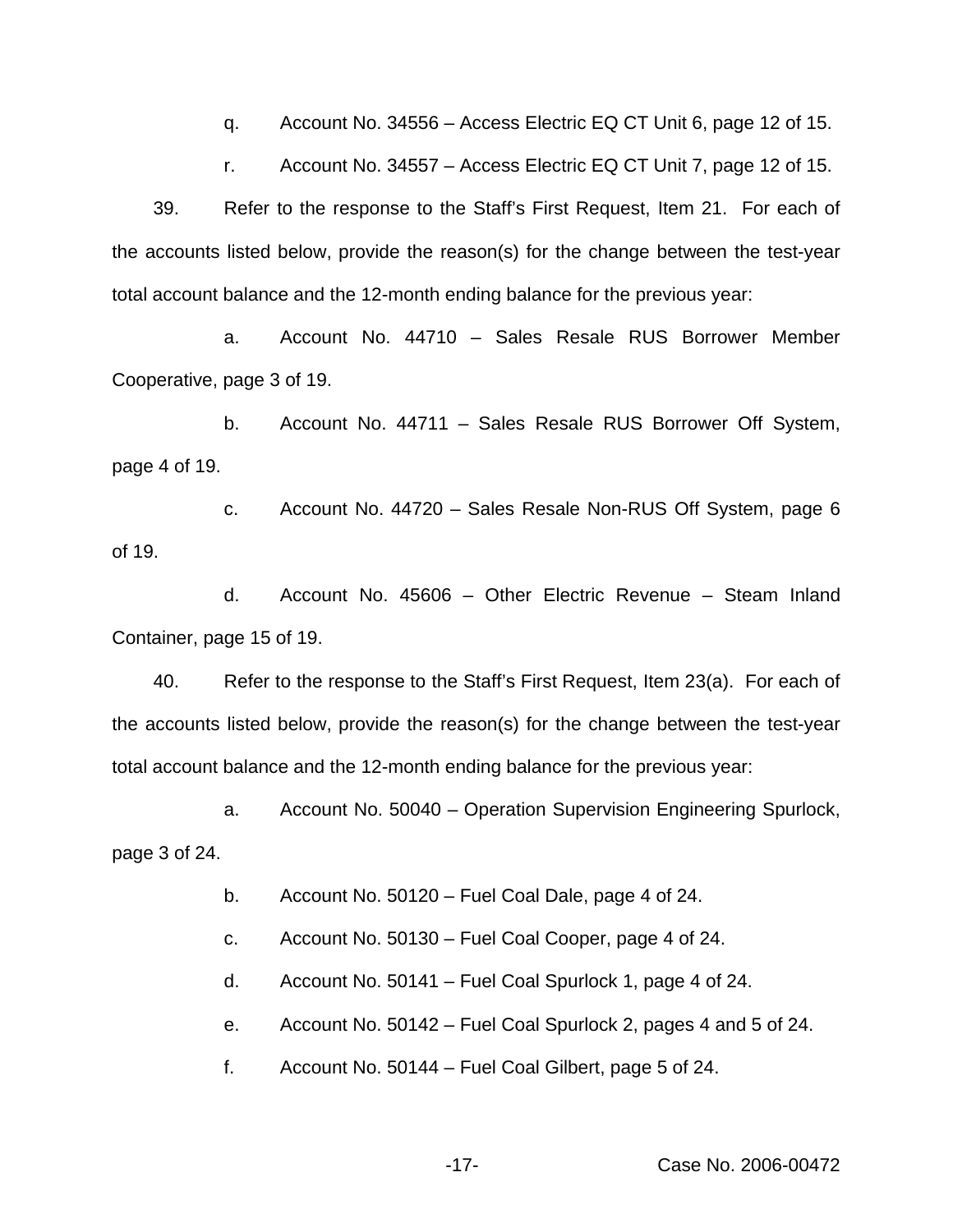q. Account No. 34556 – Access Electric EQ CT Unit 6, page 12 of 15.

r. Account No. 34557 – Access Electric EQ CT Unit 7, page 12 of 15.

39. Refer to the response to the Staff's First Request, Item 21. For each of the accounts listed below, provide the reason(s) for the change between the test-year total account balance and the 12-month ending balance for the previous year:

a. Account No. 44710 – Sales Resale RUS Borrower Member Cooperative, page 3 of 19.

b. Account No. 44711 – Sales Resale RUS Borrower Off System, page 4 of 19.

c. Account No. 44720 – Sales Resale Non-RUS Off System, page 6 of 19.

d. Account No. 45606 – Other Electric Revenue – Steam Inland Container, page 15 of 19.

40. Refer to the response to the Staff's First Request, Item 23(a). For each of the accounts listed below, provide the reason(s) for the change between the test-year total account balance and the 12-month ending balance for the previous year:

a. Account No. 50040 – Operation Supervision Engineering Spurlock, page 3 of 24.

b. Account No. 50120 – Fuel Coal Dale, page 4 of 24.

c. Account No. 50130 – Fuel Coal Cooper, page 4 of 24.

d. Account No. 50141 – Fuel Coal Spurlock 1, page 4 of 24.

e. Account No. 50142 – Fuel Coal Spurlock 2, pages 4 and 5 of 24.

f. Account No. 50144 – Fuel Coal Gilbert, page 5 of 24.

-17- Case No. 2006-00472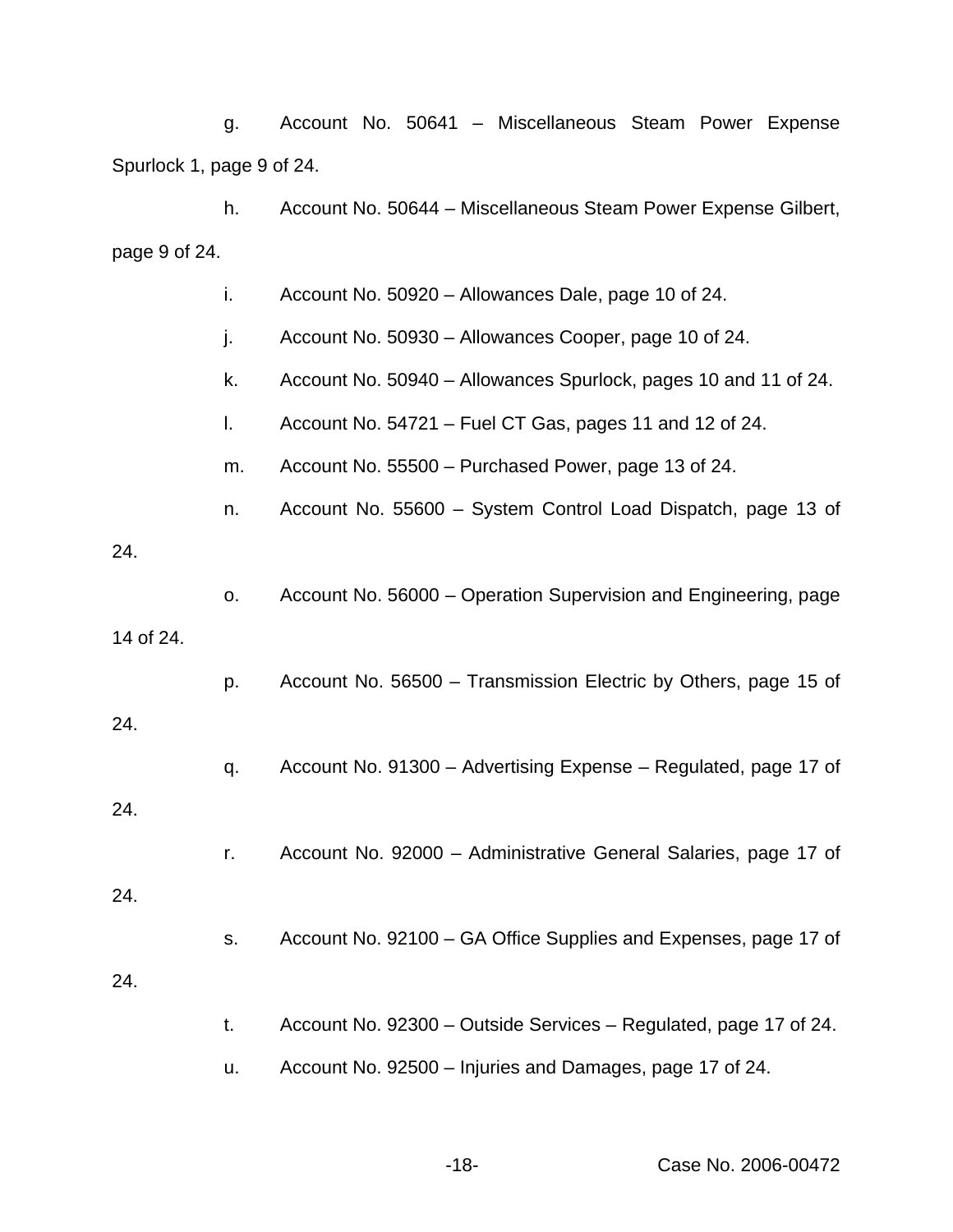g. Account No. 50641 – Miscellaneous Steam Power Expense Spurlock 1, page 9 of 24.

h. Account No. 50644 – Miscellaneous Steam Power Expense Gilbert, page 9 of 24.

i. Account No. 50920 – Allowances Dale, page 10 of 24.

j. Account No. 50930 – Allowances Cooper, page 10 of 24.

- k. Account No. 50940 Allowances Spurlock, pages 10 and 11 of 24.
- l. Account No. 54721 Fuel CT Gas, pages 11 and 12 of 24.

m. Account No. 55500 – Purchased Power, page 13 of 24.

n. Account No. 55600 – System Control Load Dispatch, page 13 of

## 24.

o. Account No. 56000 – Operation Supervision and Engineering, page

#### 14 of 24.

p. Account No. 56500 – Transmission Electric by Others, page 15 of

# 24.

- q. Account No. 91300 Advertising Expense Regulated, page 17 of 24.
	- r. Account No. 92000 Administrative General Salaries, page 17 of

#### 24.

- s. Account No. 92100 GA Office Supplies and Expenses, page 17 of 24.
	- t. Account No. 92300 Outside Services Regulated, page 17 of 24.
	- u. Account No. 92500 Injuries and Damages, page 17 of 24.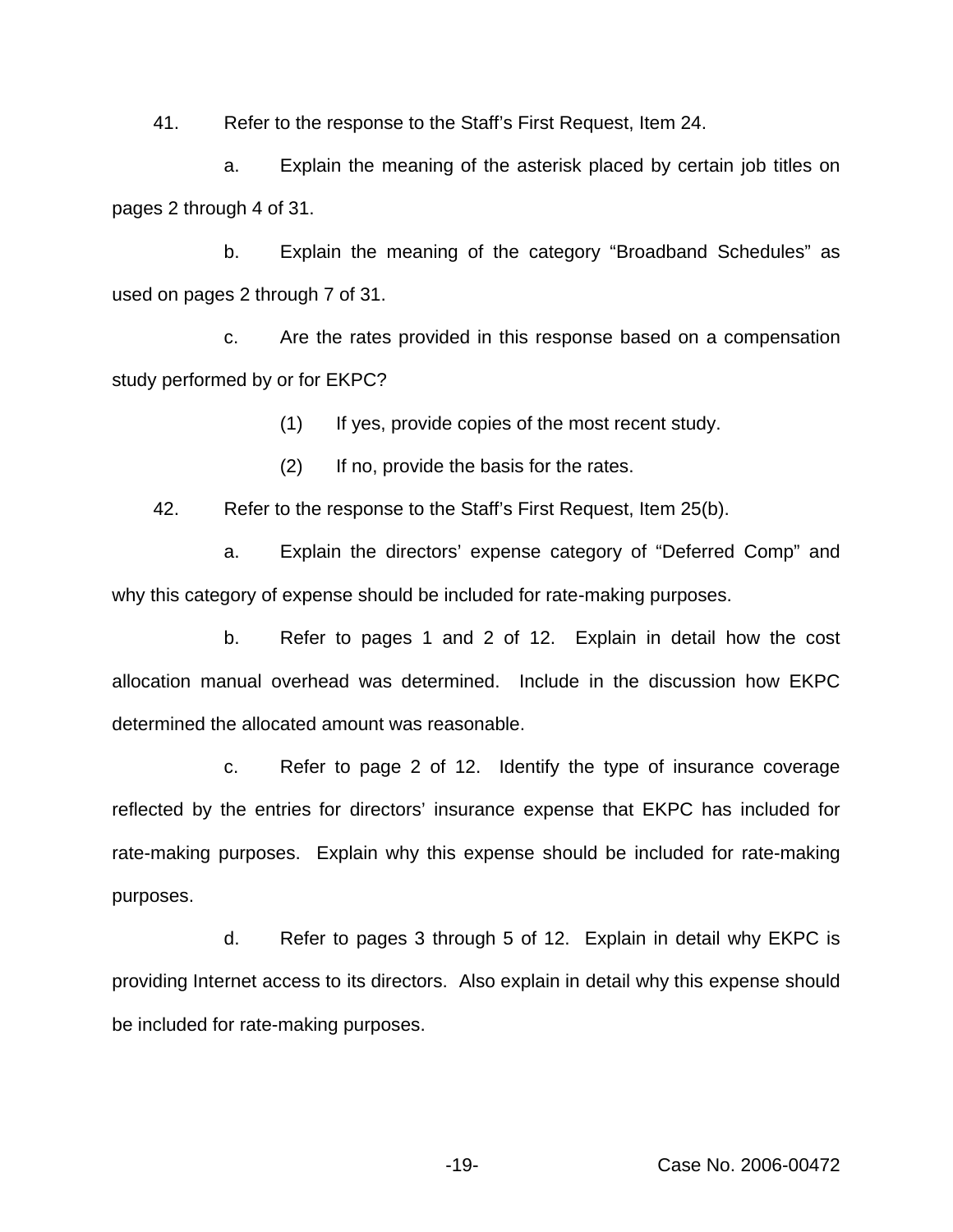41. Refer to the response to the Staff's First Request, Item 24.

a. Explain the meaning of the asterisk placed by certain job titles on pages 2 through 4 of 31.

b. Explain the meaning of the category "Broadband Schedules" as used on pages 2 through 7 of 31.

c. Are the rates provided in this response based on a compensation study performed by or for EKPC?

(1) If yes, provide copies of the most recent study.

(2) If no, provide the basis for the rates.

42. Refer to the response to the Staff's First Request, Item 25(b).

a. Explain the directors' expense category of "Deferred Comp" and why this category of expense should be included for rate-making purposes.

b. Refer to pages 1 and 2 of 12. Explain in detail how the cost allocation manual overhead was determined. Include in the discussion how EKPC determined the allocated amount was reasonable.

c. Refer to page 2 of 12. Identify the type of insurance coverage reflected by the entries for directors' insurance expense that EKPC has included for rate-making purposes. Explain why this expense should be included for rate-making purposes.

d. Refer to pages 3 through 5 of 12. Explain in detail why EKPC is providing Internet access to its directors. Also explain in detail why this expense should be included for rate-making purposes.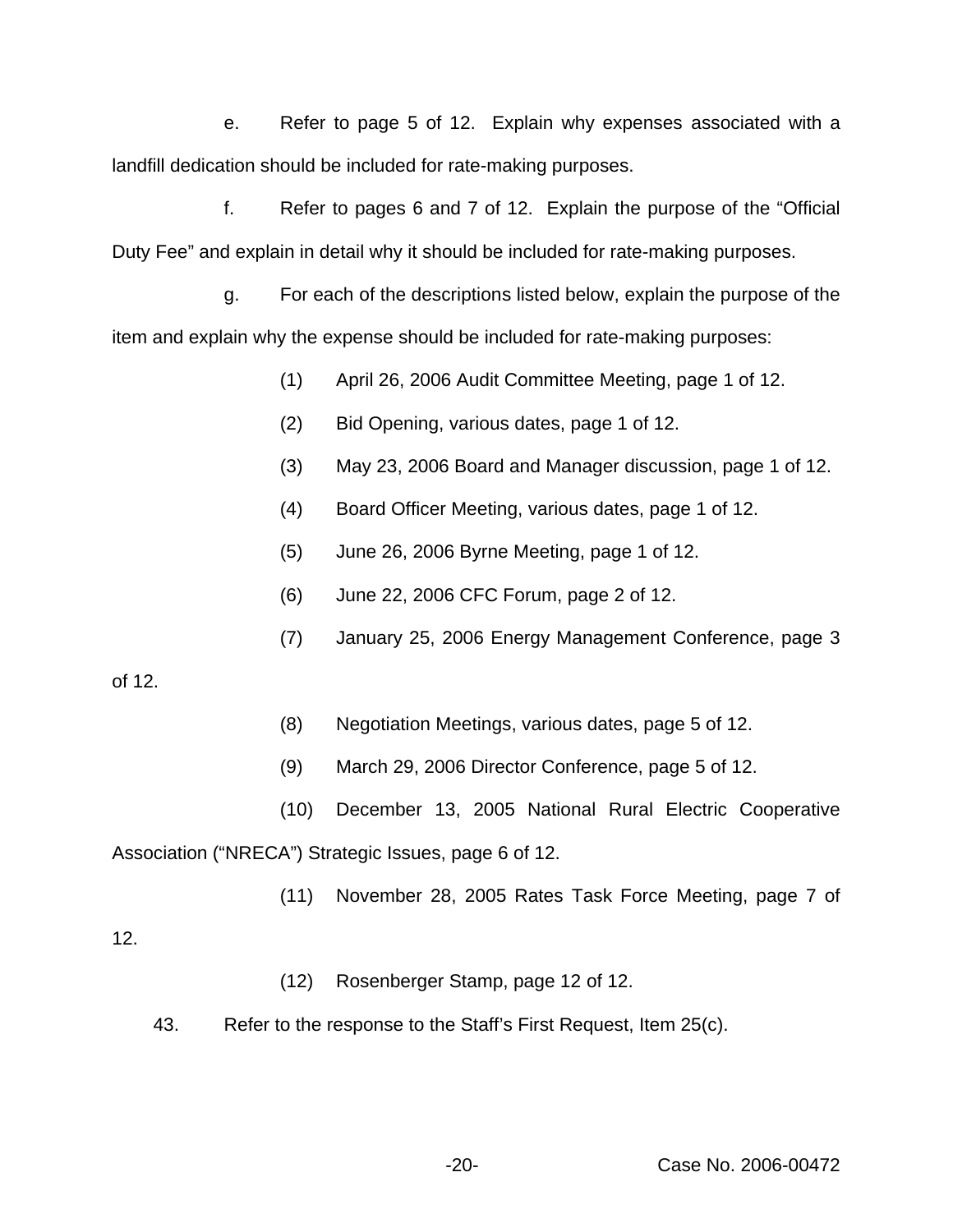e. Refer to page 5 of 12. Explain why expenses associated with a landfill dedication should be included for rate-making purposes.

f. Refer to pages 6 and 7 of 12. Explain the purpose of the "Official Duty Fee" and explain in detail why it should be included for rate-making purposes.

g. For each of the descriptions listed below, explain the purpose of the item and explain why the expense should be included for rate-making purposes:

- (1) April 26, 2006 Audit Committee Meeting, page 1 of 12.
- (2) Bid Opening, various dates, page 1 of 12.
- (3) May 23, 2006 Board and Manager discussion, page 1 of 12.
- (4) Board Officer Meeting, various dates, page 1 of 12.
- (5) June 26, 2006 Byrne Meeting, page 1 of 12.
- (6) June 22, 2006 CFC Forum, page 2 of 12.
- (7) January 25, 2006 Energy Management Conference, page 3

of 12.

- (8) Negotiation Meetings, various dates, page 5 of 12.
- (9) March 29, 2006 Director Conference, page 5 of 12.
- (10) December 13, 2005 National Rural Electric Cooperative Association ("NRECA") Strategic Issues, page 6 of 12.
	- (11) November 28, 2005 Rates Task Force Meeting, page 7 of

12.

- (12) Rosenberger Stamp, page 12 of 12.
- 43. Refer to the response to the Staff's First Request, Item 25(c).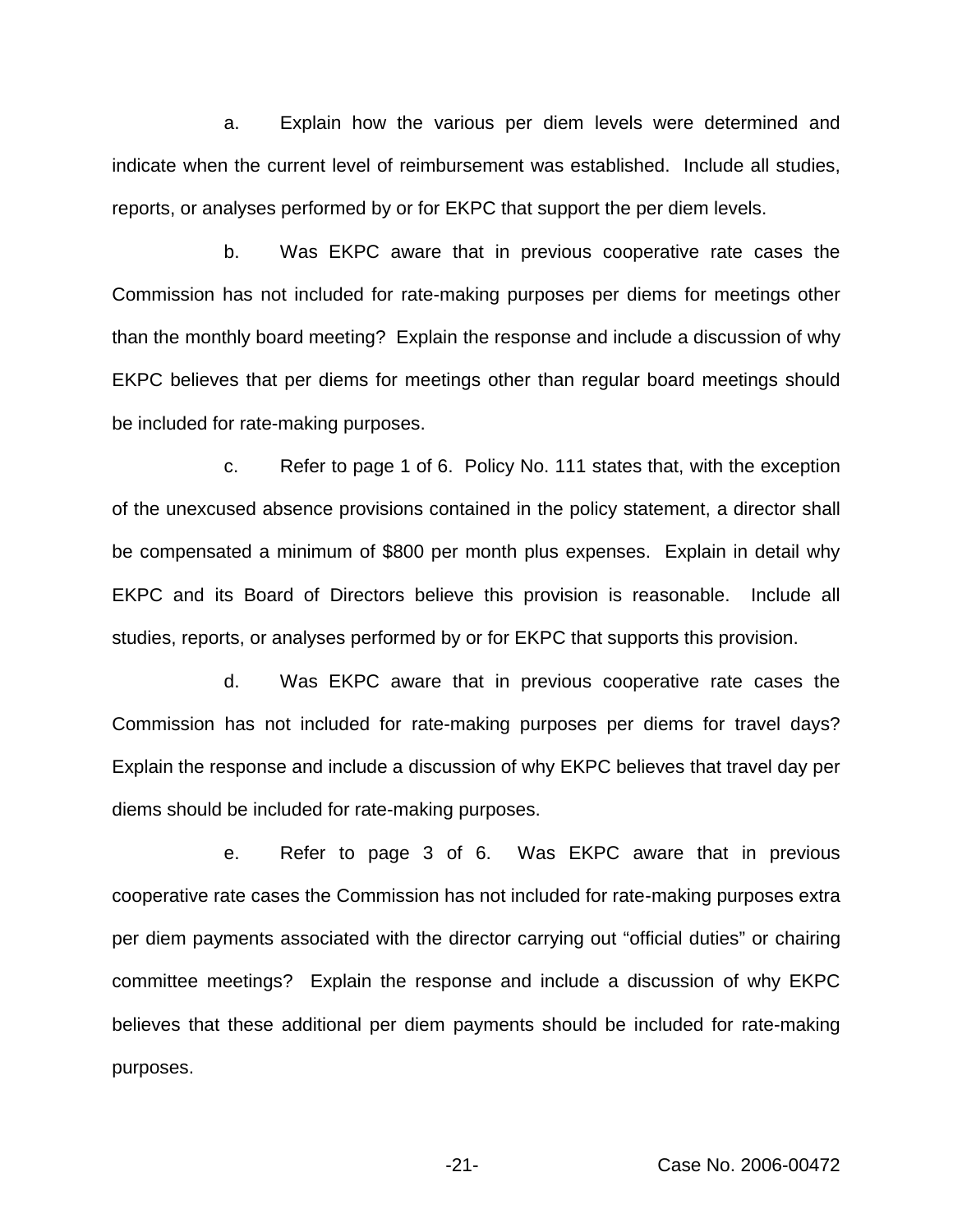a. Explain how the various per diem levels were determined and indicate when the current level of reimbursement was established. Include all studies, reports, or analyses performed by or for EKPC that support the per diem levels.

b. Was EKPC aware that in previous cooperative rate cases the Commission has not included for rate-making purposes per diems for meetings other than the monthly board meeting? Explain the response and include a discussion of why EKPC believes that per diems for meetings other than regular board meetings should be included for rate-making purposes.

c. Refer to page 1 of 6. Policy No. 111 states that, with the exception of the unexcused absence provisions contained in the policy statement, a director shall be compensated a minimum of \$800 per month plus expenses. Explain in detail why EKPC and its Board of Directors believe this provision is reasonable. Include all studies, reports, or analyses performed by or for EKPC that supports this provision.

d. Was EKPC aware that in previous cooperative rate cases the Commission has not included for rate-making purposes per diems for travel days? Explain the response and include a discussion of why EKPC believes that travel day per diems should be included for rate-making purposes.

e. Refer to page 3 of 6. Was EKPC aware that in previous cooperative rate cases the Commission has not included for rate-making purposes extra per diem payments associated with the director carrying out "official duties" or chairing committee meetings? Explain the response and include a discussion of why EKPC believes that these additional per diem payments should be included for rate-making purposes.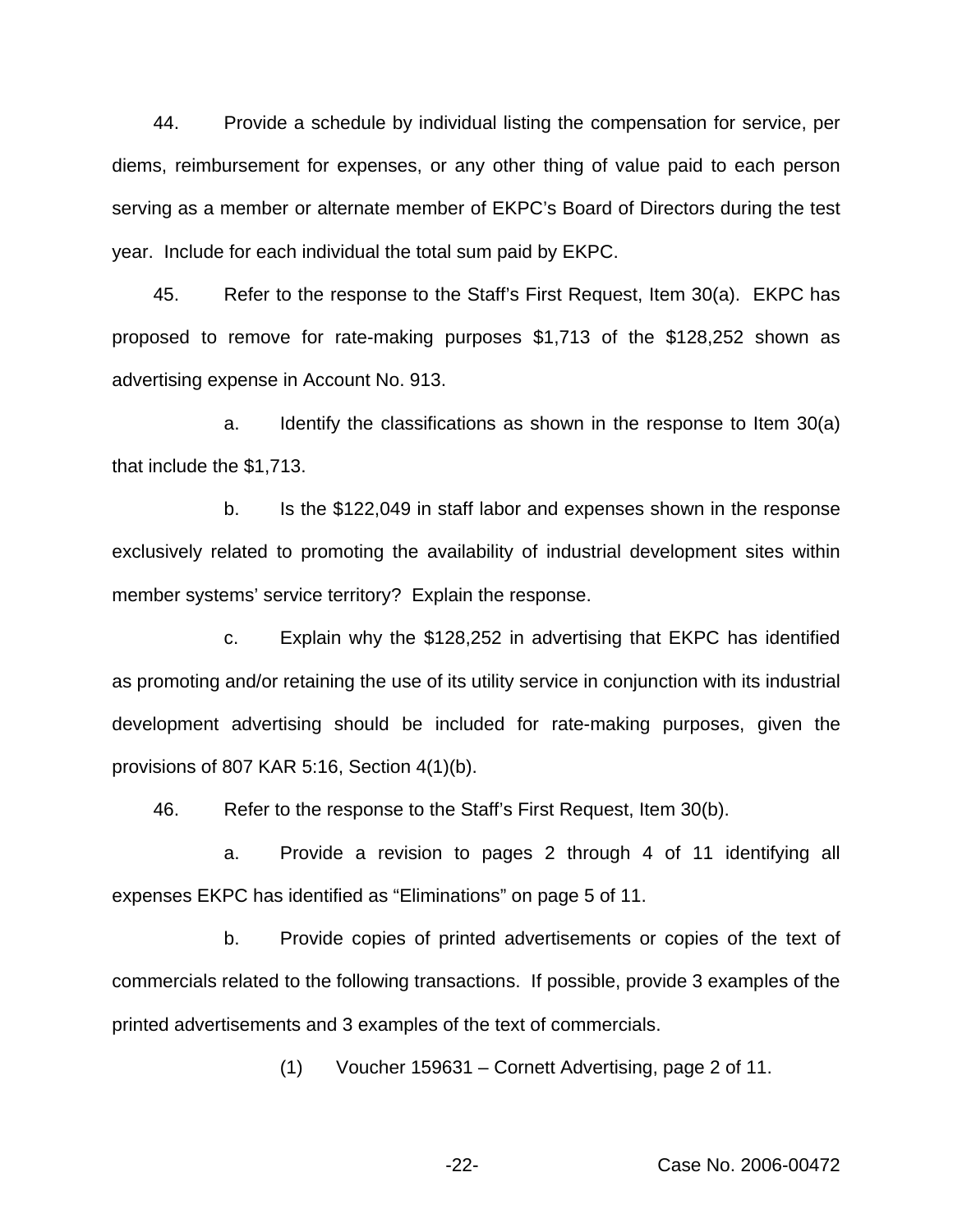44. Provide a schedule by individual listing the compensation for service, per diems, reimbursement for expenses, or any other thing of value paid to each person serving as a member or alternate member of EKPC's Board of Directors during the test year. Include for each individual the total sum paid by EKPC.

45. Refer to the response to the Staff's First Request, Item 30(a). EKPC has proposed to remove for rate-making purposes \$1,713 of the \$128,252 shown as advertising expense in Account No. 913.

a. Identify the classifications as shown in the response to Item 30(a) that include the \$1,713.

b. Is the \$122,049 in staff labor and expenses shown in the response exclusively related to promoting the availability of industrial development sites within member systems' service territory? Explain the response.

c. Explain why the \$128,252 in advertising that EKPC has identified as promoting and/or retaining the use of its utility service in conjunction with its industrial development advertising should be included for rate-making purposes, given the provisions of 807 KAR 5:16, Section 4(1)(b).

46. Refer to the response to the Staff's First Request, Item 30(b).

a. Provide a revision to pages 2 through 4 of 11 identifying all expenses EKPC has identified as "Eliminations" on page 5 of 11.

b. Provide copies of printed advertisements or copies of the text of commercials related to the following transactions. If possible, provide 3 examples of the printed advertisements and 3 examples of the text of commercials.

(1) Voucher 159631 – Cornett Advertising, page 2 of 11.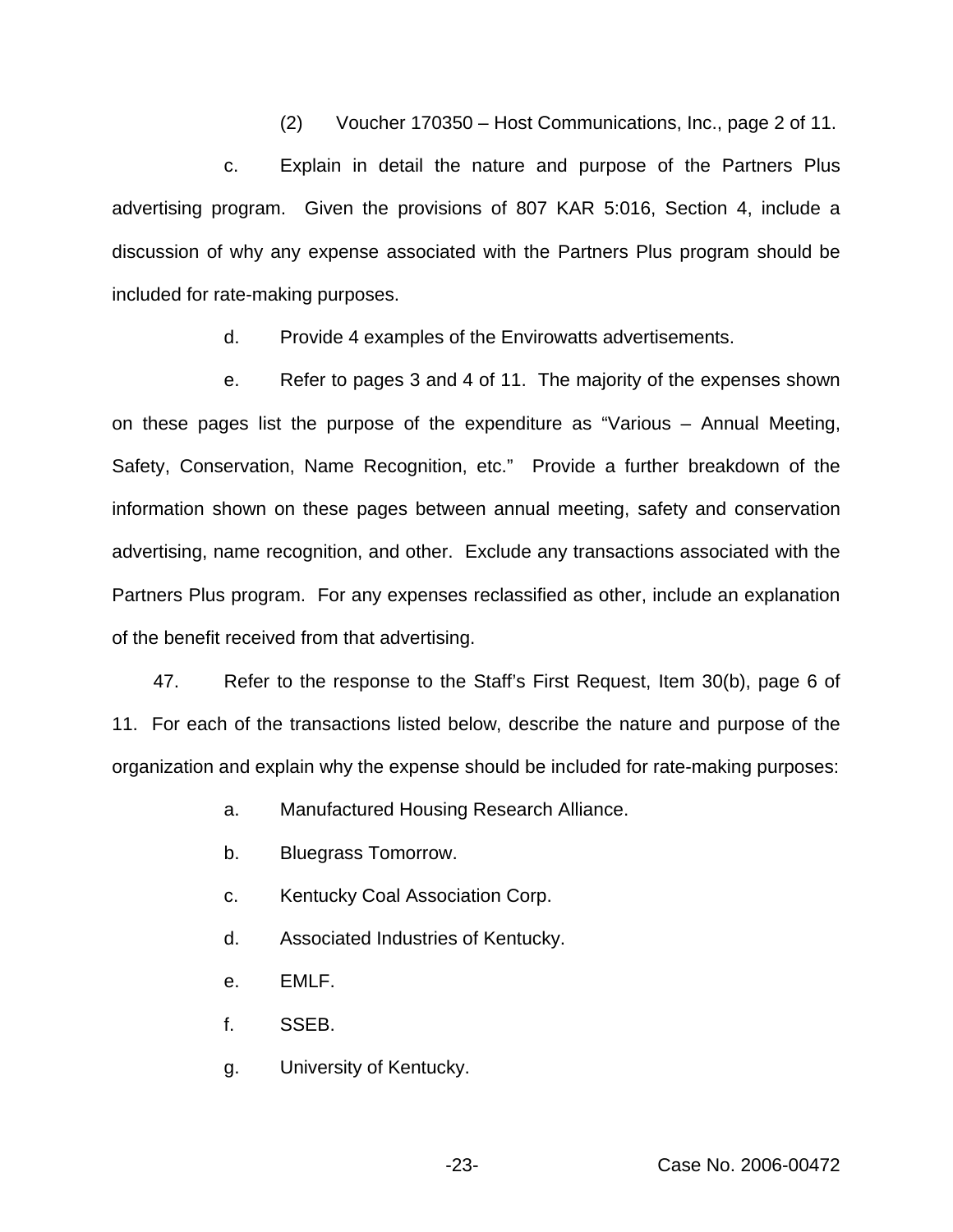(2) Voucher 170350 – Host Communications, Inc., page 2 of 11.

c. Explain in detail the nature and purpose of the Partners Plus advertising program. Given the provisions of 807 KAR 5:016, Section 4, include a discussion of why any expense associated with the Partners Plus program should be included for rate-making purposes.

d. Provide 4 examples of the Envirowatts advertisements.

e. Refer to pages 3 and 4 of 11. The majority of the expenses shown on these pages list the purpose of the expenditure as "Various – Annual Meeting, Safety, Conservation, Name Recognition, etc." Provide a further breakdown of the information shown on these pages between annual meeting, safety and conservation advertising, name recognition, and other. Exclude any transactions associated with the Partners Plus program. For any expenses reclassified as other, include an explanation of the benefit received from that advertising.

47. Refer to the response to the Staff's First Request, Item 30(b), page 6 of 11. For each of the transactions listed below, describe the nature and purpose of the organization and explain why the expense should be included for rate-making purposes:

- a. Manufactured Housing Research Alliance.
- b. Bluegrass Tomorrow.
- c. Kentucky Coal Association Corp.
- d. Associated Industries of Kentucky.
- e. EMLF.
- f. SSEB.
- g. University of Kentucky.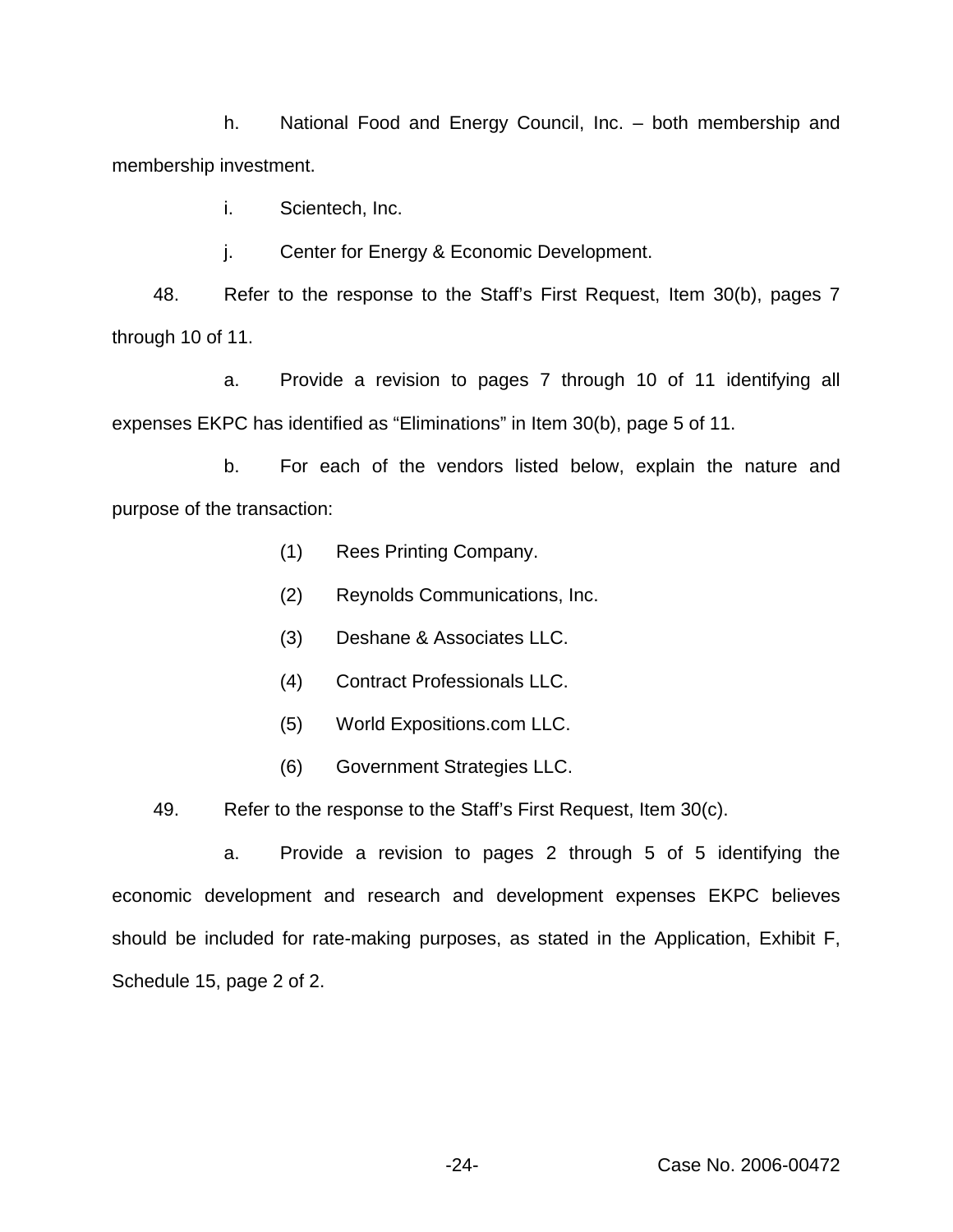h. National Food and Energy Council, Inc. – both membership and membership investment.

i. Scientech, Inc.

j. Center for Energy & Economic Development.

48. Refer to the response to the Staff's First Request, Item 30(b), pages 7 through 10 of 11.

a. Provide a revision to pages 7 through 10 of 11 identifying all expenses EKPC has identified as "Eliminations" in Item 30(b), page 5 of 11.

b. For each of the vendors listed below, explain the nature and purpose of the transaction:

- (1) Rees Printing Company.
- (2) Reynolds Communications, Inc.
- (3) Deshane & Associates LLC.
- (4) Contract Professionals LLC.
- (5) World Expositions.com LLC.
- (6) Government Strategies LLC.

49. Refer to the response to the Staff's First Request, Item 30(c).

a. Provide a revision to pages 2 through 5 of 5 identifying the economic development and research and development expenses EKPC believes should be included for rate-making purposes, as stated in the Application, Exhibit F, Schedule 15, page 2 of 2.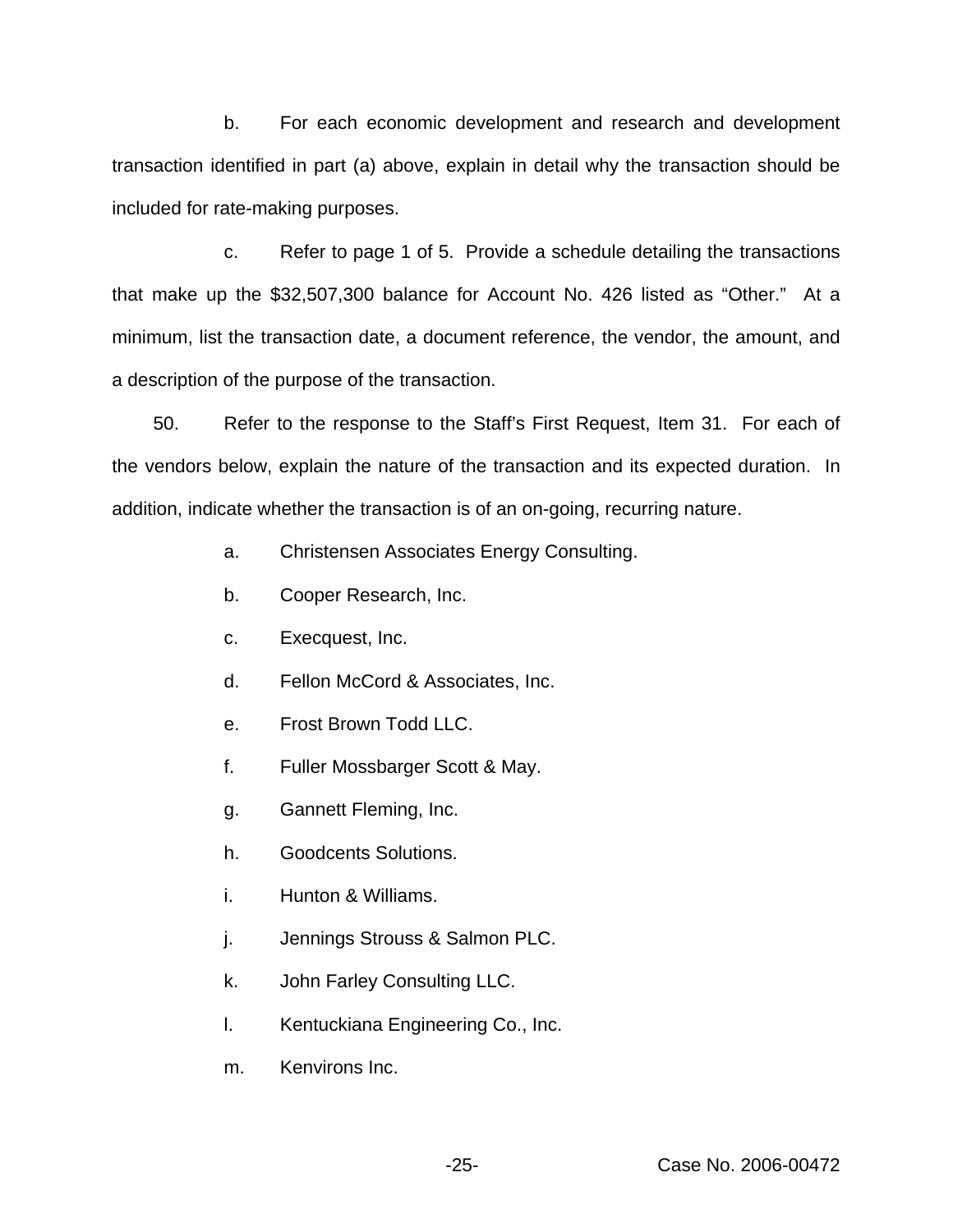b. For each economic development and research and development transaction identified in part (a) above, explain in detail why the transaction should be included for rate-making purposes.

c. Refer to page 1 of 5. Provide a schedule detailing the transactions that make up the \$32,507,300 balance for Account No. 426 listed as "Other." At a minimum, list the transaction date, a document reference, the vendor, the amount, and a description of the purpose of the transaction.

50. Refer to the response to the Staff's First Request, Item 31. For each of the vendors below, explain the nature of the transaction and its expected duration. In addition, indicate whether the transaction is of an on-going, recurring nature.

- a. Christensen Associates Energy Consulting.
- b. Cooper Research, Inc.
- c. Execquest, Inc.
- d. Fellon McCord & Associates, Inc.
- e. Frost Brown Todd LLC.
- f. Fuller Mossbarger Scott & May.
- g. Gannett Fleming, Inc.
- h. Goodcents Solutions.
- i. Hunton & Williams.
- j. Jennings Strouss & Salmon PLC.
- k. John Farley Consulting LLC.
- l. Kentuckiana Engineering Co., Inc.
- m. Kenvirons Inc.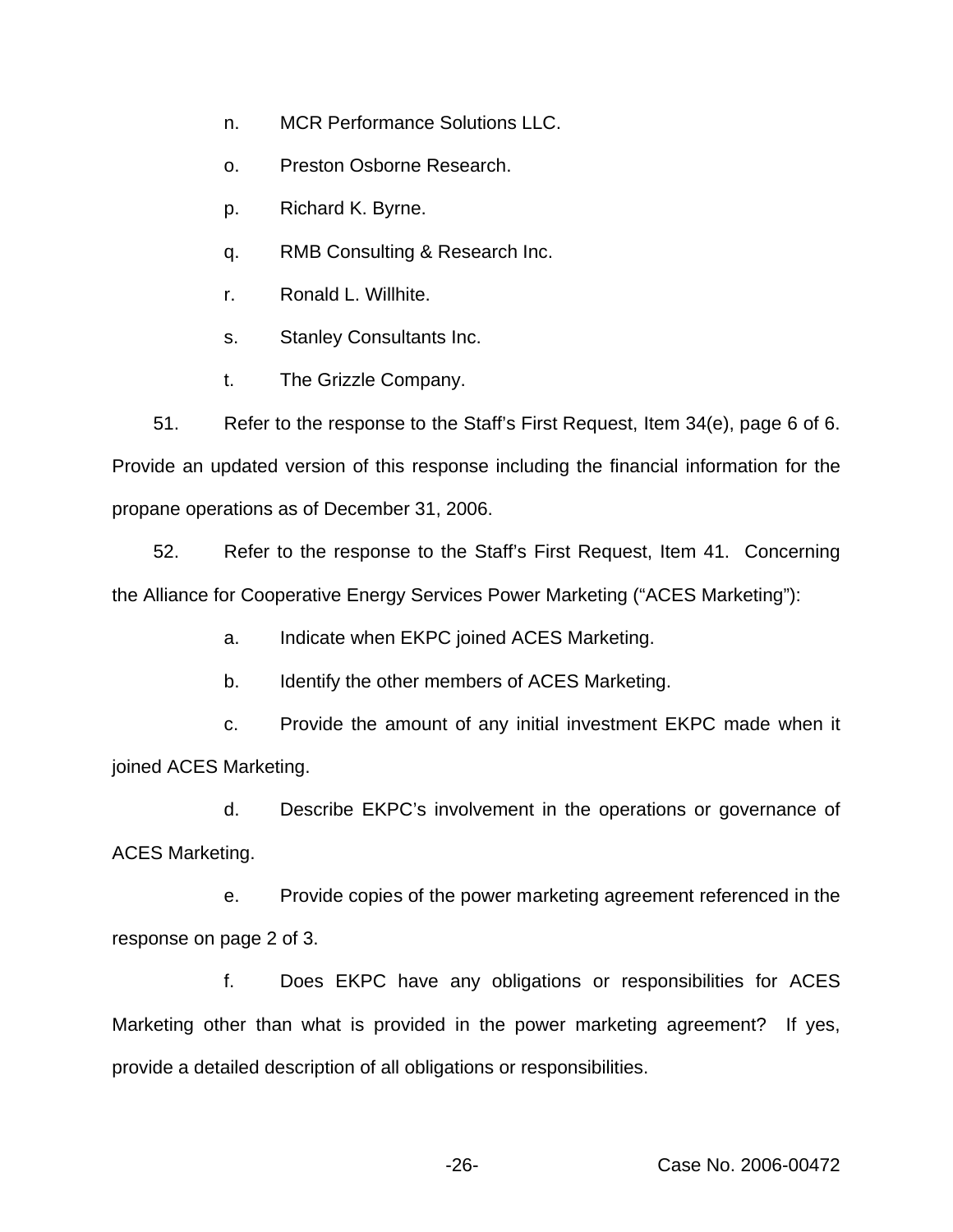- n. MCR Performance Solutions LLC.
- o. Preston Osborne Research.
- p. Richard K. Byrne.
- q. RMB Consulting & Research Inc.
- r. Ronald L. Willhite.
- s. Stanley Consultants Inc.
- t. The Grizzle Company.

51. Refer to the response to the Staff's First Request, Item 34(e), page 6 of 6. Provide an updated version of this response including the financial information for the propane operations as of December 31, 2006.

52. Refer to the response to the Staff's First Request, Item 41. Concerning the Alliance for Cooperative Energy Services Power Marketing ("ACES Marketing"):

- a. Indicate when EKPC joined ACES Marketing.
- b. Identify the other members of ACES Marketing.

c. Provide the amount of any initial investment EKPC made when it joined ACES Marketing.

d. Describe EKPC's involvement in the operations or governance of ACES Marketing.

e. Provide copies of the power marketing agreement referenced in the response on page 2 of 3.

f. Does EKPC have any obligations or responsibilities for ACES Marketing other than what is provided in the power marketing agreement? If yes, provide a detailed description of all obligations or responsibilities.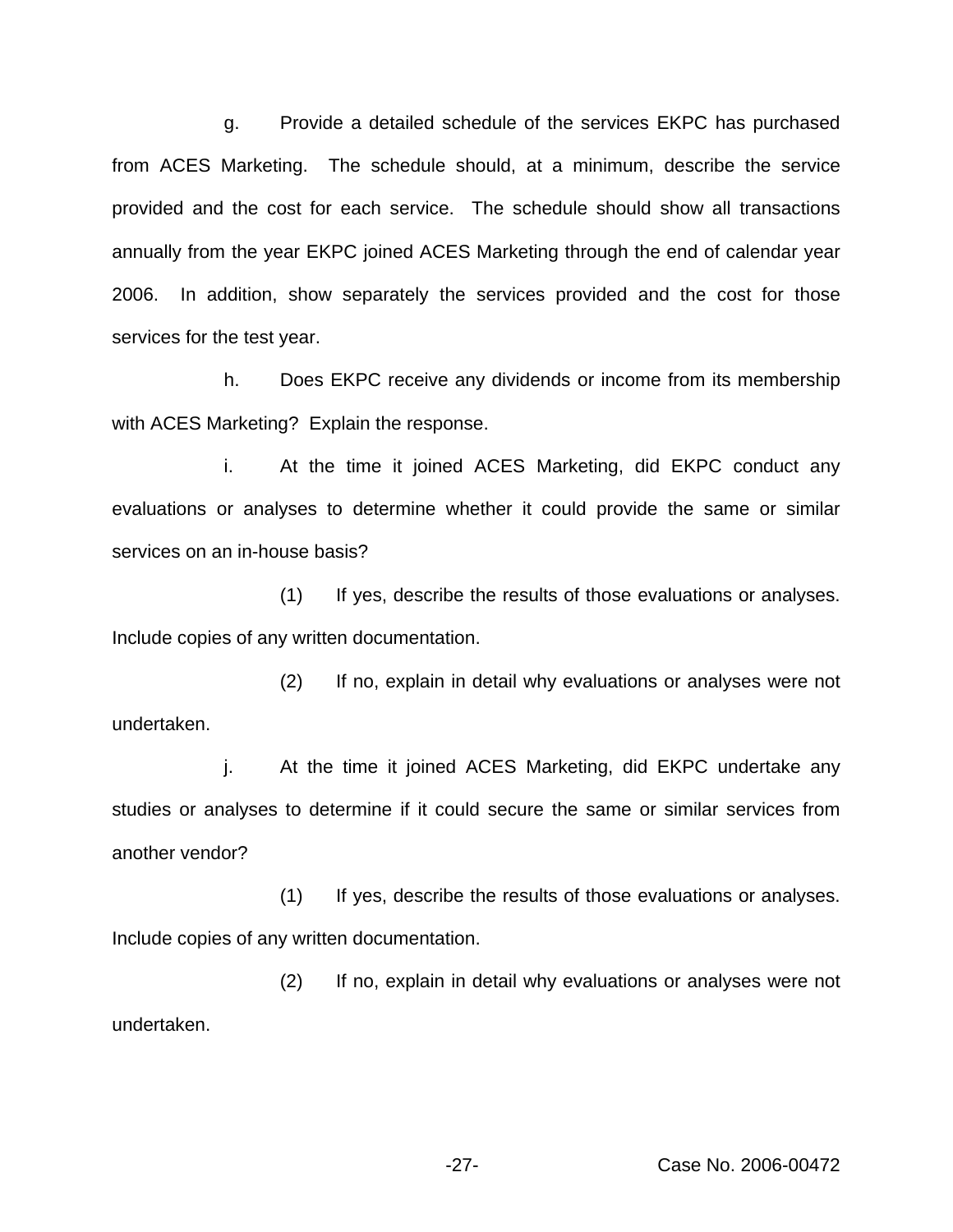g. Provide a detailed schedule of the services EKPC has purchased from ACES Marketing. The schedule should, at a minimum, describe the service provided and the cost for each service. The schedule should show all transactions annually from the year EKPC joined ACES Marketing through the end of calendar year 2006. In addition, show separately the services provided and the cost for those services for the test year.

h. Does EKPC receive any dividends or income from its membership with ACES Marketing? Explain the response.

i. At the time it joined ACES Marketing, did EKPC conduct any evaluations or analyses to determine whether it could provide the same or similar services on an in-house basis?

(1) If yes, describe the results of those evaluations or analyses. Include copies of any written documentation.

(2) If no, explain in detail why evaluations or analyses were not undertaken.

j. At the time it joined ACES Marketing, did EKPC undertake any studies or analyses to determine if it could secure the same or similar services from another vendor?

(1) If yes, describe the results of those evaluations or analyses. Include copies of any written documentation.

(2) If no, explain in detail why evaluations or analyses were not undertaken.

-27- Case No. 2006-00472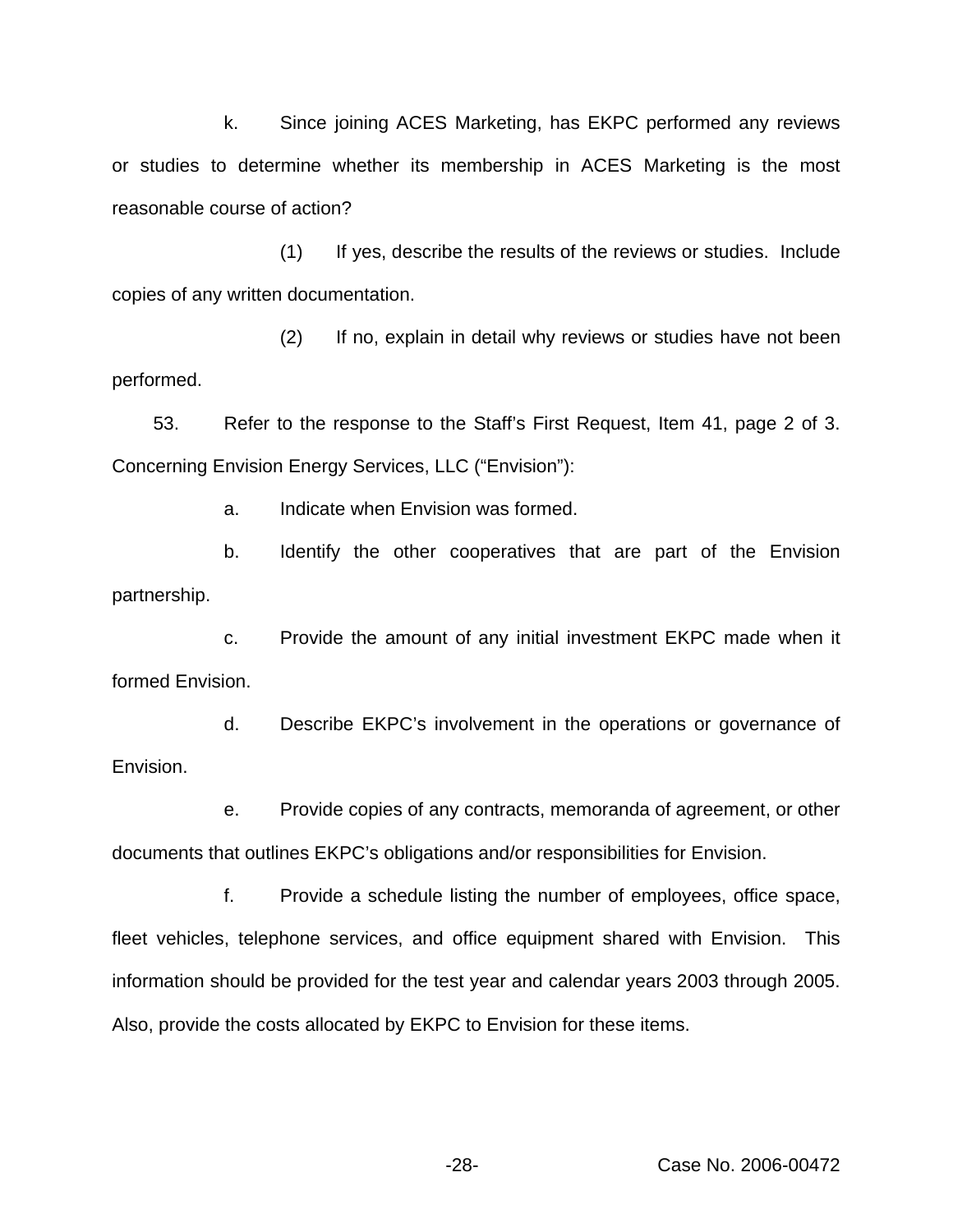k. Since joining ACES Marketing, has EKPC performed any reviews or studies to determine whether its membership in ACES Marketing is the most reasonable course of action?

(1) If yes, describe the results of the reviews or studies. Include copies of any written documentation.

(2) If no, explain in detail why reviews or studies have not been performed.

53. Refer to the response to the Staff's First Request, Item 41, page 2 of 3. Concerning Envision Energy Services, LLC ("Envision"):

a. Indicate when Envision was formed.

b. Identify the other cooperatives that are part of the Envision partnership.

c. Provide the amount of any initial investment EKPC made when it formed Envision.

d. Describe EKPC's involvement in the operations or governance of Envision.

e. Provide copies of any contracts, memoranda of agreement, or other documents that outlines EKPC's obligations and/or responsibilities for Envision.

f. Provide a schedule listing the number of employees, office space, fleet vehicles, telephone services, and office equipment shared with Envision. This information should be provided for the test year and calendar years 2003 through 2005. Also, provide the costs allocated by EKPC to Envision for these items.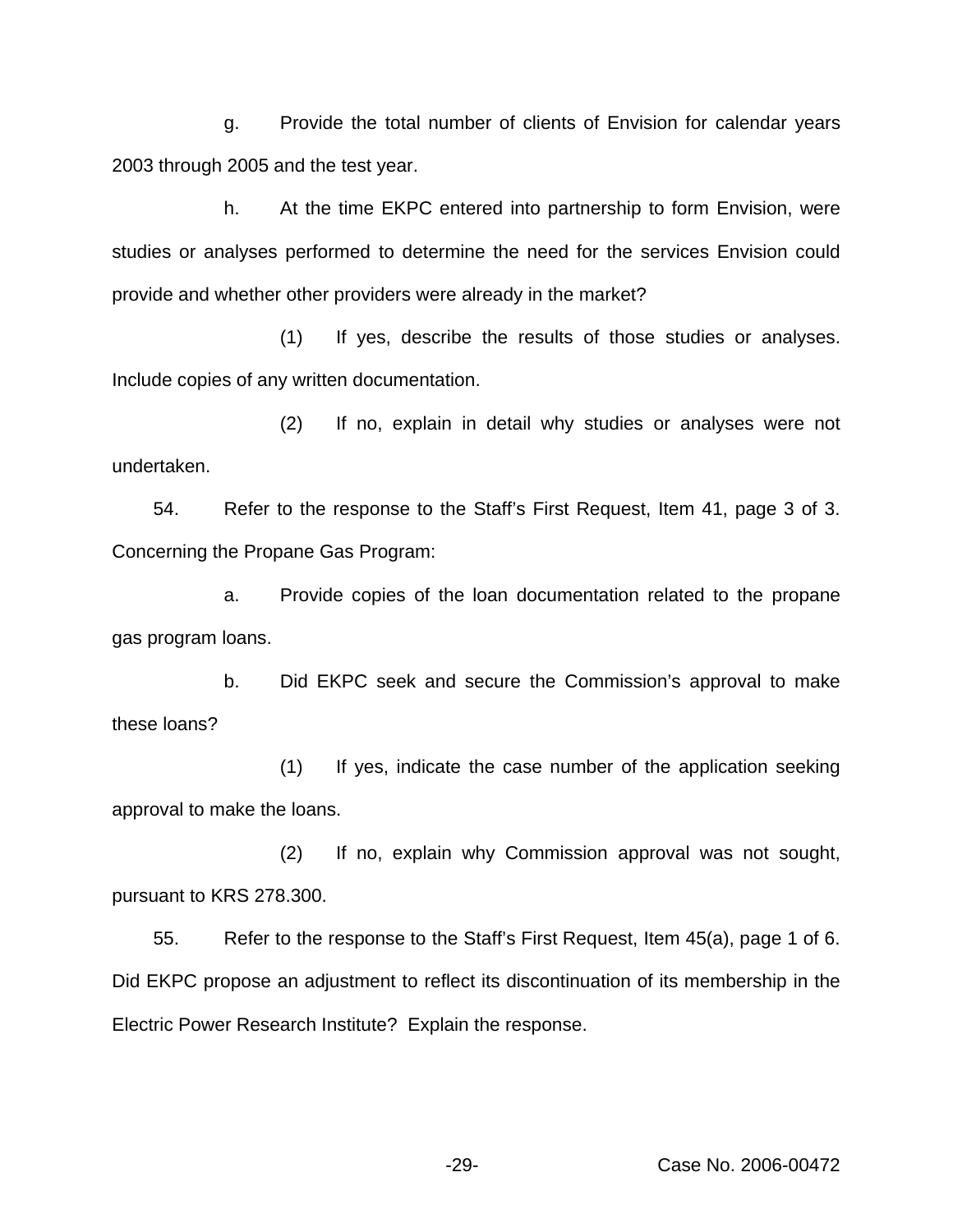g. Provide the total number of clients of Envision for calendar years 2003 through 2005 and the test year.

h. At the time EKPC entered into partnership to form Envision, were studies or analyses performed to determine the need for the services Envision could provide and whether other providers were already in the market?

(1) If yes, describe the results of those studies or analyses. Include copies of any written documentation.

(2) If no, explain in detail why studies or analyses were not undertaken.

54. Refer to the response to the Staff's First Request, Item 41, page 3 of 3. Concerning the Propane Gas Program:

a. Provide copies of the loan documentation related to the propane gas program loans.

b. Did EKPC seek and secure the Commission's approval to make these loans?

(1) If yes, indicate the case number of the application seeking approval to make the loans.

(2) If no, explain why Commission approval was not sought, pursuant to KRS 278.300.

55. Refer to the response to the Staff's First Request, Item 45(a), page 1 of 6. Did EKPC propose an adjustment to reflect its discontinuation of its membership in the Electric Power Research Institute? Explain the response.